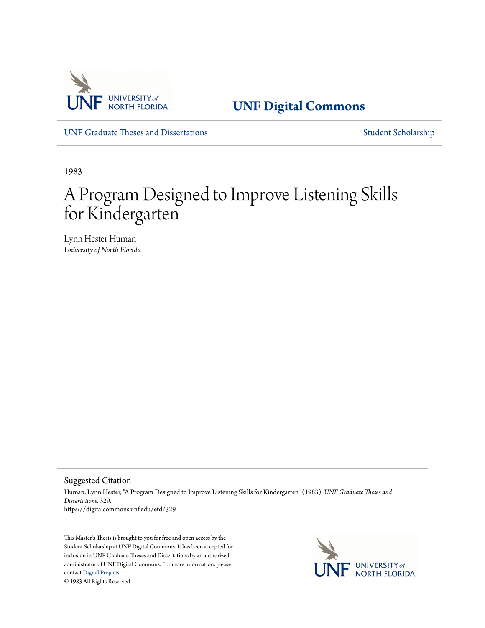

**[UNF Digital Commons](https://digitalcommons.unf.edu)**

[UNF Graduate Theses and Dissertations](https://digitalcommons.unf.edu/etd) [Student Scholarship](https://digitalcommons.unf.edu/student_scholars)

1983

# A Program Designed to Improve Listening Skills for Kindergarten

Lynn Hester Human *University of North Florida*

Suggested Citation

Human, Lynn Hester, "A Program Designed to Improve Listening Skills for Kindergarten" (1983). *UNF Graduate Theses and Dissertations*. 329. https://digitalcommons.unf.edu/etd/329

This Master's Thesis is brought to you for free and open access by the Student Scholarship at UNF Digital Commons. It has been accepted for inclusion in UNF Graduate Theses and Dissertations by an authorized administrator of UNF Digital Commons. For more information, please contact [Digital Projects.](mailto:lib-digital@unf.edu) © 1983 All Rights Reserved

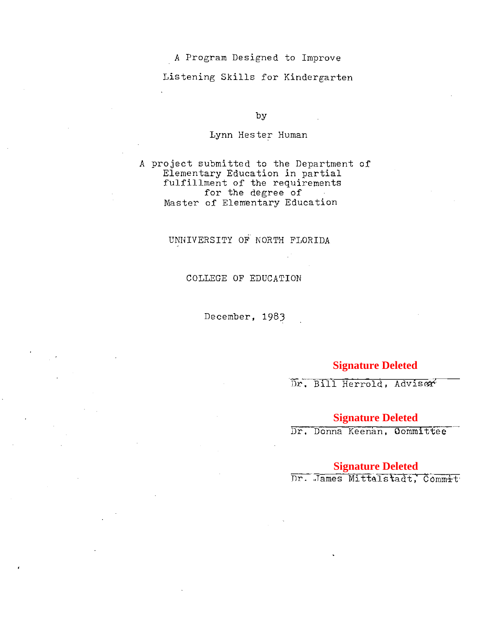A Program Designed to Improve

Listening Skills for Kindergarten

by

Lynn Hester Human

A project submitted to the Department of Elementary Education in partial fulfillment of the requirements for the degree of Master of Elementary Education

#### UNNIVERSITY OF NORTH FLORIDA

COLLEGE OF EDUCATION

December, 1983

### **Signature Deleted**

Dr. Bill Herrold, Adviser

#### **Signature Deleted**

Dr. Donna Keenan, Committee

**Signature Deleted**<br>Dr. James Mittelstadt, Commit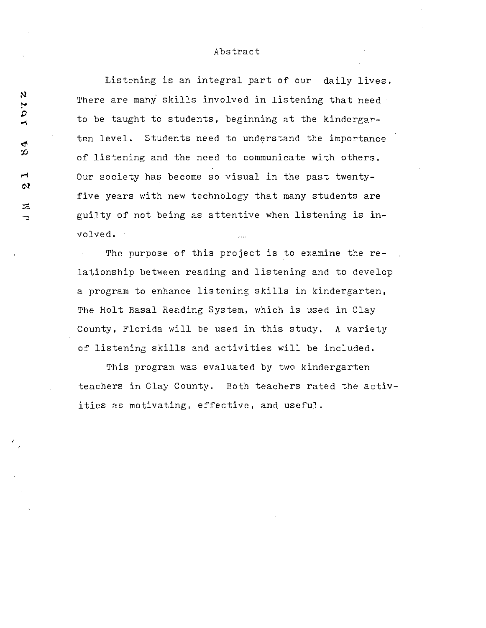#### Abstract

Listening is an integral part of our daily lives. There are many skills involved in listening that need to be taught to students, beginning at the kindergarten level. Students need to understand the importance of listening and the need to communicate with others. Our society has become so visual in the past twentyfive years with new technology that many students are guilty of not being as attentive when listening is involved.

The purpose of this project is to examine the relationship between reading and listening and to develop a program to enhance listening skills in kindergarten, The Holt Basal Reading System, which is used in Clay County, Florida will be used in this study. A variety of listening skills and activities will be included.

This program was evaluated by two kindergarten teachers in Clay County. Both teachers rated the activities as motivating, effective, and useful.

Ņ 2.91  $\mathbf{r}$ ာ  $\blacktriangleright$  $\boldsymbol{\alpha}$ 云

→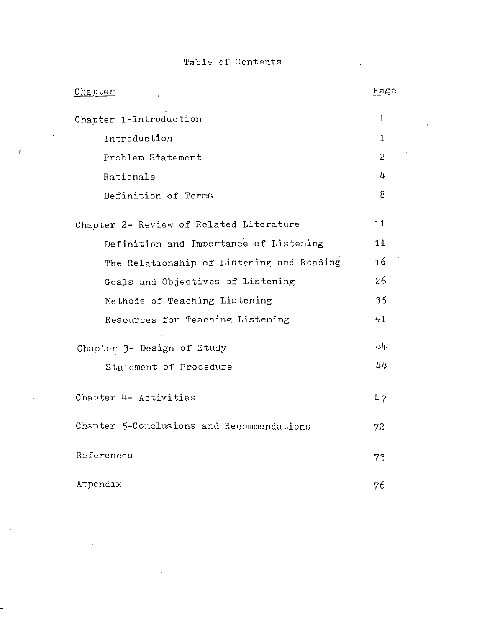## Table of Contents

 $\mathcal{L}^{\mathcal{L}}$  .

 $\mathcal{A}$ 

 $\sim$   $\sim$ 

 $\langle \cdot \rangle$ 

 $\sim$   $\sigma$ 

**Contract Contract** 

| Chapter                                   | Page           |
|-------------------------------------------|----------------|
| Chapter 1-Introduction                    | $\mathbf{1}$   |
| Introduction                              | 1.             |
| Problem Statement                         | $\overline{2}$ |
| Rationale                                 | 4              |
| Definition of Terms                       | 8              |
| Chapter 2- Review of Related Literature   | 11             |
| Definition and Importance of Listening    | 11             |
| The Relationship of Listening and Reading | 16             |
| Goals and Objectives of Listening         | 26             |
| Methods of Teaching Listening             | 35             |
| Resources for Teaching Listening          | 41             |
| Chapter 3- Design of Study                | 44             |
| Statement of Procedure                    | 44             |
| Chapter 4- Activities                     | 47             |
| Chapter 5-Conclusions and Recommendations | 72             |
| References                                | 73             |
| Appendix                                  | 76             |

 $\sim$   $\sim$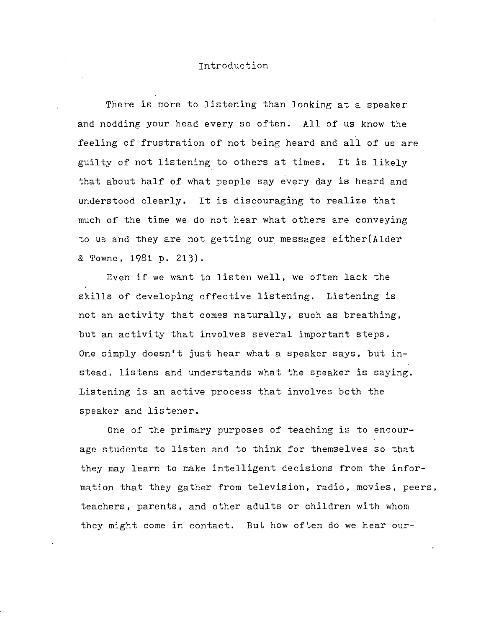#### Introduction

There is more to listening than looking at a speaker and nodding your head every so often. All of us know the feeling of frustration of not being heard and all of us are guilty of not listening to others at times. It is likely that about half of what people say every day is heard and understood clearly. It is discouraging to realize that much of the time we do not hear what others are conveying to us and they are not getting our messages either(Aldet & Towne, 1981 p. 213).

Even if we want to listen well, we often lack the skills of developing effective listening. Listening is not an activity that comes naturally, such as breathing, but an activity that involves several important steps. One simply doesn't just hear what a speaker says, but instead, listens and understands what the speaker is saying. Listening is an active process that involves both the speaker and listener.

One of the primary purposes of teaching is to encourage students to listen and to think for themselves so that they may learn to make intelligent decisions from the information that they gather from television, radio, movies, peers, teachers, parents, and other adults or children with whom they might come in contact. But how often do we hear our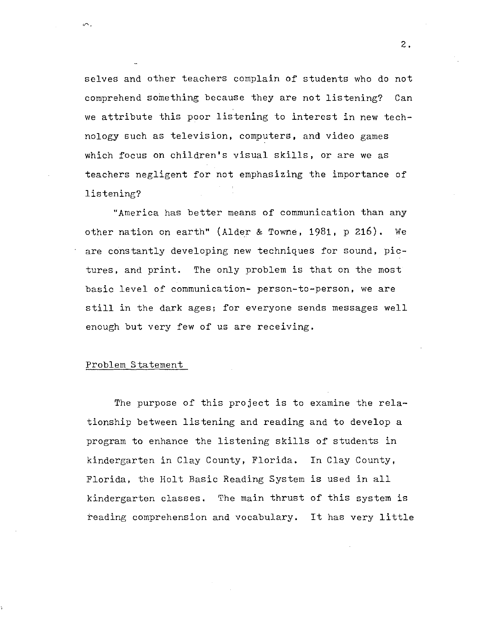selves and other teachers complain of students who do not comprehend something because they are not listening? Can we attribute this poor listening to interest in new technology such as television, computers, and video games which focus on children's visual skills, or are we as teachers negligent for not emphasizing the importance of listening?

"America has better means of communication than any other nation on earth" (Alder & Towne, 1981, p 216). We are constantly developing new techniques for sound, pictures, and print. The only problem is that on the most basic level of communication- person-to-person, we are still in the dark ages; for everyone sends messages well enough but very few of us are receiving.

#### Problem Statement

The purpose of this project is to examine the relationship between listening and reading and to develop a program to enhance the listening skills of students in kindergarten in Clay County, Florida. In Clay County, Florida, the Holt Basic Reading System is used in all kindergarten classes. The main thrust of this system is reading comprehension and vocabulary. It has very little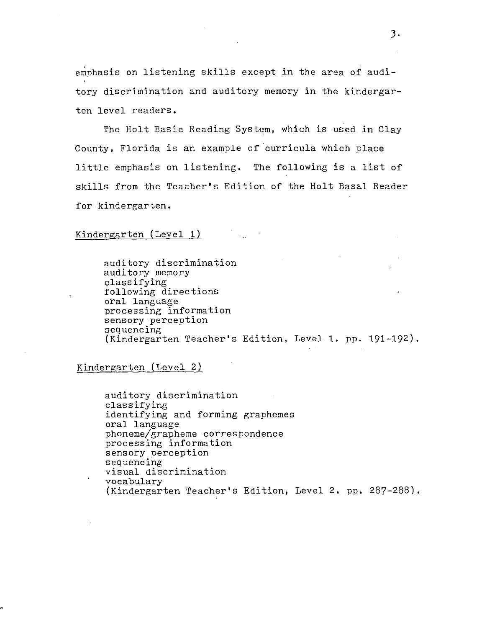emphasis on listening skills except in the area of auditory discrimination and auditory memory in the kindergarten level readers.

The Holt Basic Reading System, which is used in Clay County, Florida is an example of curricula which place little emphasis on listening. The following is a list of skills from the Teacher's Edition of the Holt Basal Reader for kindergarten.

#### Kindergarten (Level 1)

auditory discrimination auditory memory classifying following directions oral language processing information sensory perception sequencing (Kindergarten Teacher's Edition, Level 1. pp. 191-192).

Kindergarten (Level 2)

auditory discrimination classifying identifying and forming graphemes oral language phoneme/grapheme correspondence processing information sensory perception sequencing visual discrimination vocabulary (Kindergarten Teacher's Edition, Level 2. pp. 287-288).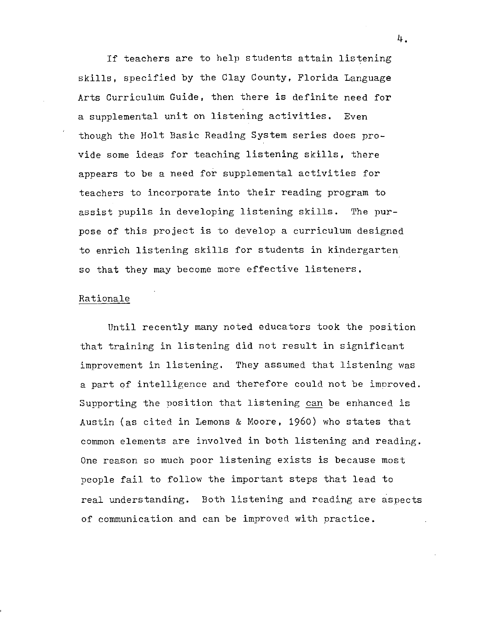If teachers are to help students attain listening skills, specified by the Clay County, Florida Language Arts Curriculum Guide, then there is definite need for a supplemental unit on listening activities. Even though the Holt Basic Reading System series does provide some ideas for teaching listening skills, there appears to be a need for supplemental activities for teachers to incorporate into their reading program to assist pupils in developing listening skills. The purpose of this project is to develop a curriculum designed to enrich listening skills for students in kindergarten so that they may become more effective listeners.

#### Rationale

Until recently many noted educators took the position that training in listening did not result in significant improvement in listening. They assumed that listening was a part of intelligence and therefore could not be improved. Supporting the position that listening can be enhanced is Austin (as cited in Lemons & Moore, 1960) who states that common elements are involved in both listening and reading. One reason so much poor listening exists is because most people fail to follow the important steps that lead to real understanding. Both listening and reading are aspects of communication. and can be improved with practice.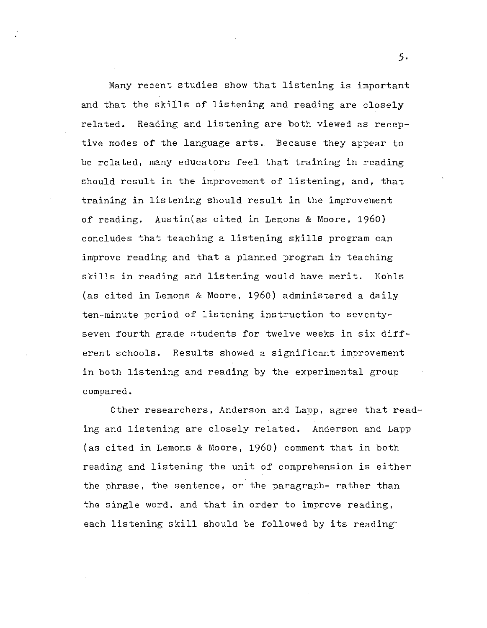Many recent studies show that listening is important and that the skills of listening and reading are closely related. Reading and listening are both viewed as receptive modes of the language arts. Because they appear to be related, many educators feel that training in reading should result in the improvement of listening, and, that training in listening should result in the improvement of reading. Austin(as cited in Lemons & Moore, 1960) concludes that teaching a listening skills program can improve reading and that a planned program in teaching skills in reading and listening would have merit. Kohls (as cited in Lemons & Moore, 1960) administered a daily ten-minute period of listening instruction to seventyseven fourth grade students for twelve weeks in six different schools. Results showed a significant improvement in both listening and reading by the experimental group compared.

Other researchers, Anderson and Lapp, agree that reading and listening are closely related. Anderson and Lapp (as cited in Lemons & Moore, 1960) comment that in both reading and listening the unit of comprehension is either the phrase, the sentence, or the paragraph- rather than the single word, and that in order to improve reading, each listening skill should be followed by its reading

*5·*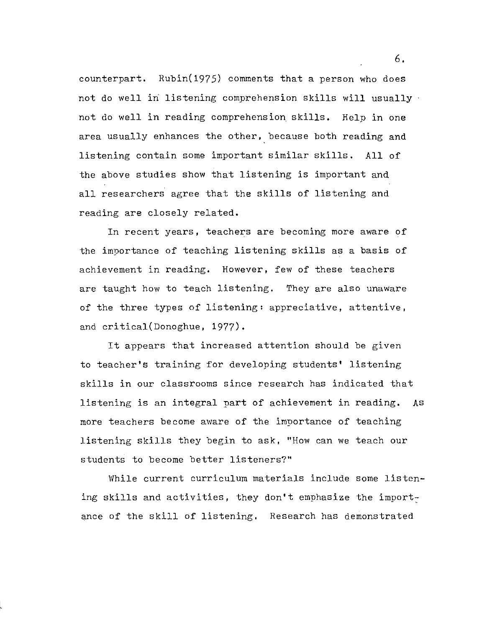counterpart. Rubin(1975) comments that a person who does not do well in listening comprehension skills will usually not do well in reading comprehension skills. Help in one area usually enhances the other, because both reading and listening contain some important similar skills. All of the above studies show that listening is imnortant and all researchers agree that the skills of listening and reading are closely related.

In recent years, teachers are becoming more aware of the importance of teaching listening skills as a basis of achievement in reading. However, few of these teachers are taught how to teach listening. They are also unaware of the three types of listening: appreciative, attentive, and critical(Donoghue, 1977).

It appears that increased attention should be given to teacher's training for developing students' listening skills in our classrooms since research has indicated that listening is an integral part of achievement in reading. As more teachers become aware of the importance of teaching listening skills they begin to ask, "How can we teach our students to become better listeners?"

While current curriculum materials include some listening skills and activities, they don't emphasize the importance of the skill of listening. Research has demonstrated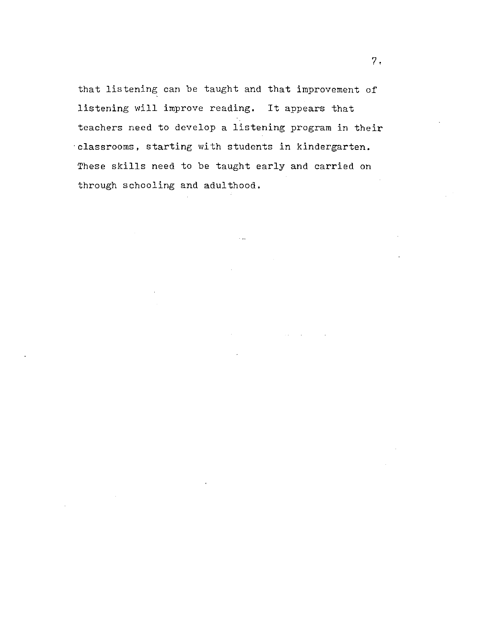that listening can be taught and that improvement of listening will improve reading. It appears that teachers need to develop a listening program in their ·classrooms, starting with students in kindergarten. These skills need to be taught early and carried on through schooling and adulthood.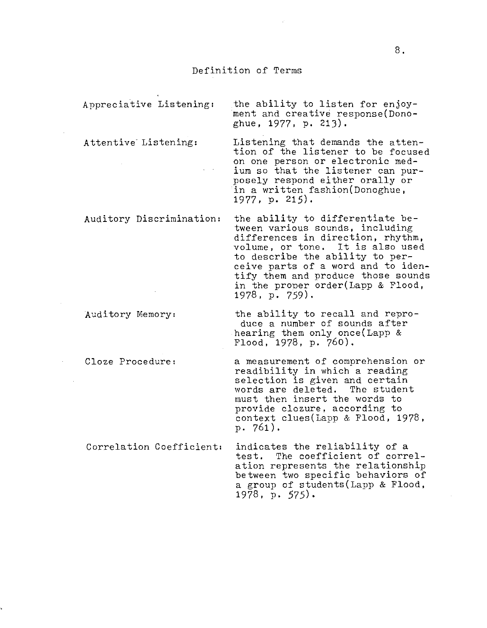#### Definition of Terms

Appreciative Listening: the ability to listen for enjoyment and creative response(Donoghue, 1977, p. 213). Attentive Listening: Listening that demands the attention of the listener to be focused on one person or electronic medium so that the listener can purposely respond either orally or in a written fashion(Donoghue,

1977, p. 215).

Auditory Discrimination: the ability to differentiate be-

to describe the ability to perceive parts of a word and to identify them and produce those sounds in the proper order(Lapp & Flood, 1978, p. 759).

tween various sounds, including differences in direction, rhythm, volume, or tone. It is also used

Auditory Memory: the ability to recall and reproduce a number of sounds after hearing them only once(Lapp & Flood, 1978, p. 760).

Cloze Procedure: a measurement of comprehension or readibility in which a reading selection is given and certain<br>words are deleted. The student words are deleted. must then insert the words to provide clozure, according to context clues(Lapp & Flood, 1978, p. 761).

Correlation Coefficient: indicates the reliability of a test. The coefficient of correlation represents the relationship between two specific behaviors of a group of students(Lapp & Flood, 1978, p. 575).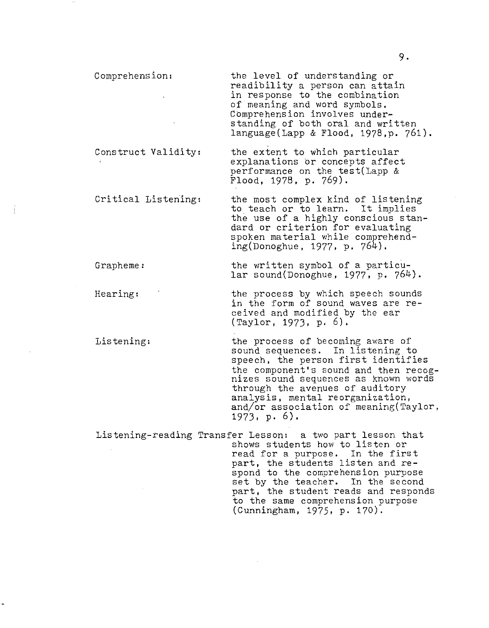the level of understanding or readibility a person can attain in response to the combination of meaning and word symbols. Comprehension involves understanding of both oral and written language(Lapp & Flood, 1978,p. 761).

Construct Validity: the extent to which particular explanations or concepts affect performance on the test(Lapp &  $F$ lood, 1978, p. 769).

Critical Listening: the most complex kind of listening to teach or to learn. It implies the use of a highly conscious standard or criterion for evaluating spoken material while comprehending(Donoghue, 1977, p. 764).

Grapheme: the written symbol of a particular sound(Donoghue, 1977, p. 764).

Hearing: the process by which speech sounds in the form of sound waves are received and modified by the ear (Taylor, 1973, p. 6).

Listening: the process of becoming aware of sound sequences. In listening to speech, the person first identifies the component's sound and then recog- nizes sound sequences as known words through the avenues of auditory analysis, mental reorganization, and/or association of meaning(Taylor, 1973. p. 6).

Listening-reading Transfer Lesson: a two part lesson that shows students how to listen or shows students how to fisten of<br>read for a purpose. In the first part, the students listen and respond to the comprehension purpose set by the teacher. In the second part, the student reads and responds to the same comprehension purpose (Cunningham, 1975, p. 170): -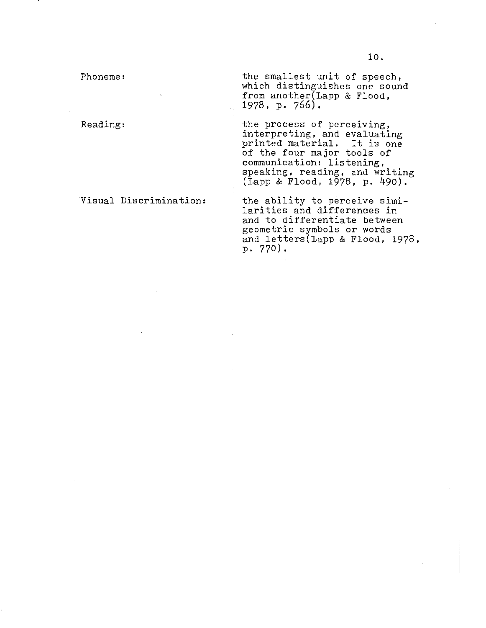Phoneme:

Reading:

Visual Discrimination:

the smallest unit of speech, which distinguishes one sound from another(Lapp & Flood, 1978, p. 766).

the process of perceiving, interpreting, and evaluating printed material. It is one of the four major tools of communication: listening, speaking, reading, and writing (Lapp & Flood, 1978, p. 490).

the ability to perceive similarities and differences in and to differentiate between geometric symbols or words and letters(Lapp & Flood, 1978, p. 770).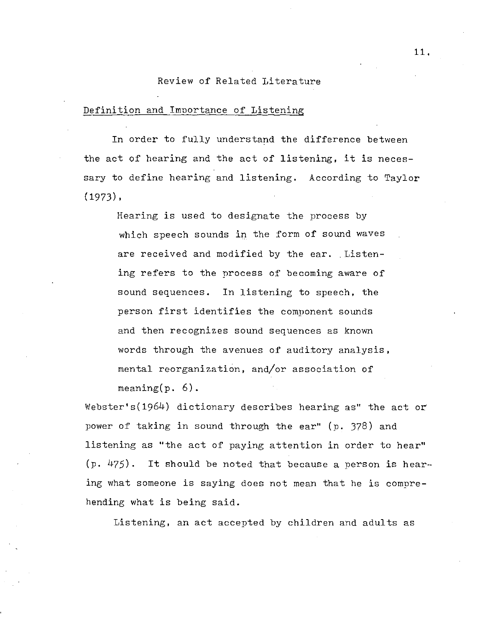#### Review of Related Literature

#### Definition and Imnortance of Listening

In order to fully understand the difference between the act of hearing and the act of listening, it is necessary to define hearing and listening. According to Taylor  $(1973)$ ,

Hearing is used to designate the process by which speech sounds in the form of sound waves are received and modified by the ear. Listening refers to the process of becoming aware of sound sequences. In listening to speech, the person first identifies the component sounds and then recognizes sound sequences as known words through the avenues of auditory analysis, mental reorganization, and/or association of meaning $(p. 6)$ .

Webster's(1964) dictionary describes hearing as" the act or power of taking in sound through the ear" (p. 378) and listening as "the act of paying attention in order to hear" (p. 475). It should be noted that because a person is hearing what someone is saying does not mean that he is comprehending what is being said.

Listening, an act accepted by children and adults as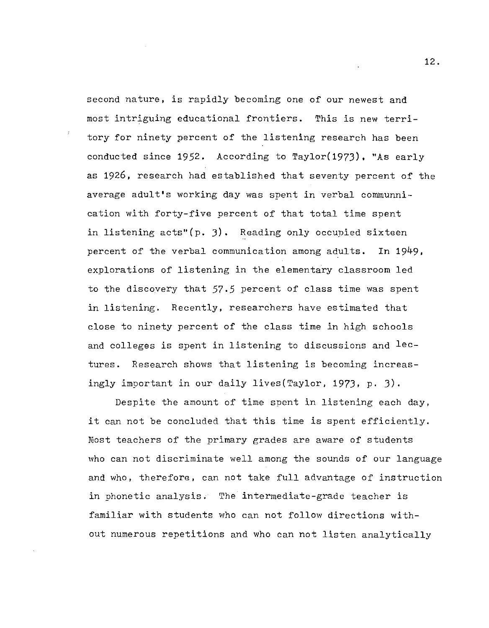second nature, is rapidly becoming one of our newest and most intriguing educational frontiers. This is new territory for ninety percent of the listening research has been conducted since 1952. According to Taylor(197J), "As early as 1926, research had established that seventy percent of the average adult's working day was spent in verbal communnication with forty-five percent of that total time spent in listening acts"(p. J). Reading only occupied sixteen percent of the verbal communication among adults. In 1949, explorations of listening in the elementary classroom led to the discovery that 57.5 percent of class time was spent in listening. Recently, researchers have estimated that close to ninety percent of the class time in high schools and colleges is spent in listening to discussions and  $l$ ectures. Research shows that listening is becoming increasingly important in our daily lives(Taylor, 1973, p. J).

Despite the amount of time spent in listening each day, it can not be concluded that this time is spent efficiently. most teachers of the primary grades are aware of students who can not discriminate well among the sounds of our language and who, therefore, can not take full advantage of instruction in phonetic analysis. The intermediate-grade teacher is familiar with students who can not follow directions without numerous repetitions and who can not listen analytically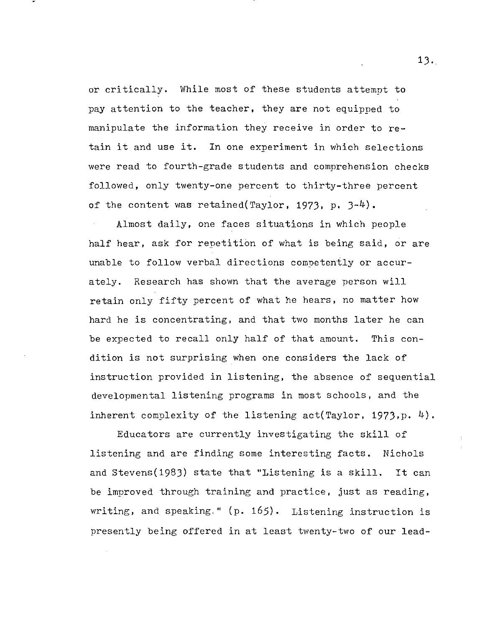or critically. While most of these students attempt to pay attention to the teacher, they are not equipped to manipulate the information they receive in order to retain it and use it. In one experiment in which selections were read to fourth-grade students and comprehension checks followed, only twenty-one percent to thirty-three percent of the content was retained(Taylor, 1973, p.  $3-4$ ).

Almost daily, one faces situations in which people half hear, ask for repetition of what is being said, or are unable to follow verbal directions competently or accurately. Research has shown that the average person will retain only fifty percent of what he hears, no matter how hard he is concentrating, and that two months later he can be expected to recall only half of that amount. This condition is not surprising when one considers the lack of instruction provided in listening, the absence of sequential developmental listening programs in most schools, and the inherent complexity of the listening act(Taylor, 1973,p. 4).

Educators are currently investigating the skill of listening and are finding some interesting facts. Nichols and Stevens(1983) state that "Listening is a skill. It can be improved through training and practice, just as reading, writing, and speaking." (p. 165). Listening instruction is presently being offered in at least twenty-two of our lead-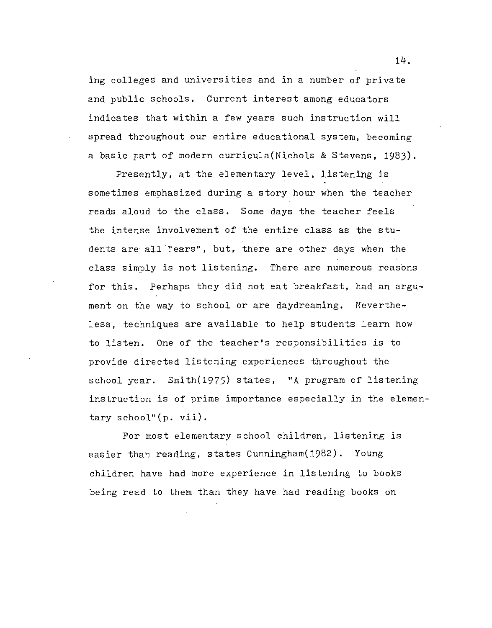ing colleges and universities and in a number of private and public schools. Current interest among educators indicates that within a few years such instruction will spread throughout our entire educational system, becoming a basic part of modern curricula(Nichols & Stevens, 198J).

Presently, at the elementary level, listening is sometimes emphasized during a story hour when the teacher reads aloud to the class. Some days the teacher feels the intense involvement of the entire class as the students are all "ears", but, there are other days when the class simply is not listening. There are numerous reasons for this. Perhaps they did not eat breakfast, had an argument on the way to school or are daydreaming. Nevertheless, techniques are available to *help* students learn how to listen. One of the teacher's responsibilities is to provide directed listening experiences throughout the school year. Smith(1975) states, "A program of listening instruction is of prime importance especially in the elementary school"(p. vii).

For most elementary school children, listening is easier than reading, states Cunningham(1982). Young children have had more experience in listening to books being read to them than they have had reading books on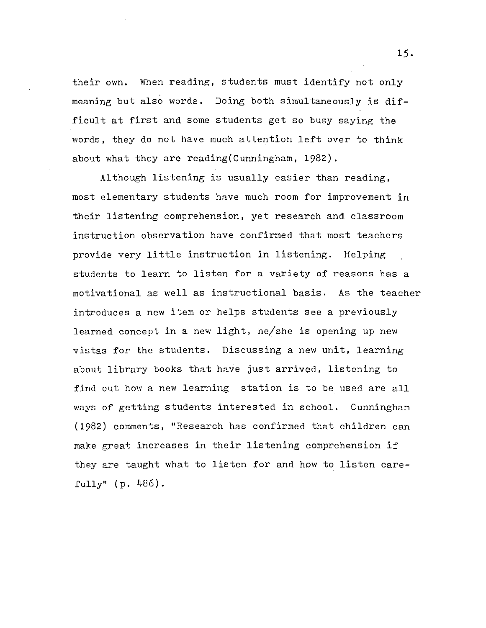their own. When reading, students must identify not only meaning but also words. Doing both simultaneously is difficult at first and some students get so busy saying the words, they do not have much attention left over to think about what they are reading(Cunningham, 1982).

Although listening is usually easier than reading, most elementary students have much room for improvement in their listening comprehension, yet research and classroom instruction observation have confirmed that most teachers provide very little instruction in listening. Helping students to learn to listen for a variety of reasons has a motivational as well as instructional basis. As the teacher introduces a new item or helps students see a previously learned concept in a new light, he/she is opening up new vistas for the students. Discussing a new unit, learning about library books that have just arrived, listening to find out how a new learning station is to be used are all ways of getting students interested in school. Cunningham (1982) comments, "Research has confirmed that children can make great increases in their listening comprehension if they are taught what to listen for and how to listen carefully" (p. 486).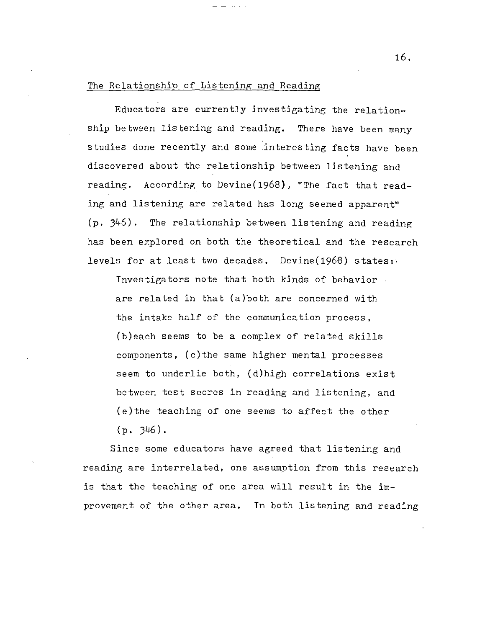#### The Relationship of Listening and Reading

Educators are currently investigating the relationship between listening and reading. There have been many studies done recently and some interesting facts have been discovered about the relationship between listening and reading. According to Devine(1968), "The fact that reading and listening are related has long seemed apparent" (p. )46). The relationship between listening and reading has been explored on both the theoretical and the research levels for at least two decades. Devine(1968) states:·

Investigators note that both kinds of behavior are related in that (a)both are concerned with the intake half of the communication process, (b)each seems to be a complex of related skills components, (c)the same higher mental processes seem to underlie both, (d)high correlations exist between test scores in reading and listening, and (e)the teaching of one seems to affect the other  $(p. 346).$ 

Since some educators have agreed that listening and reading are interrelated, one assumption from this research is that the teaching of one area will result in the improvement of the other area. In both listening and reading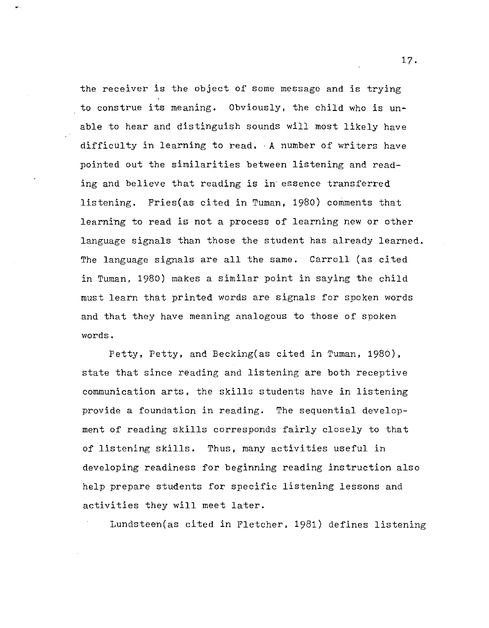the receiver is the object of some message and is trying to construe its meaning. Obviously, the child who is unable to hear and distinguish sounds will most likely have difficulty in learning to read. ·A number of writers have pointed out the similarities between listening and reading and believe that reading is in· essence transferred listening. Fries(as cited in Tuman, 1980) comments that learning to read is not a process of learning new or other language signals than those the student has already learned. The language signals are all the same. Carroll (as cited in Tuman, 1980) makes a similar point in saying the child must learn that printed words are signals for spoken words and that they have meaning analogous to those of spoken words.

Petty, Petty, and Becking(as cited in Tuman, 1980), state that since reading and listening are both receptive communication arts, the skills students have in listening provide a foundation in reading. The sequential development of reading skills corresponds fairly closely to that of listening skills. Thus, many activities useful in developing readiness for beginning reading instruction also help prepare students for specific listening lessons and activities they will meet later.

Lundsteen(as cited in Fletcher, 1981) defines listening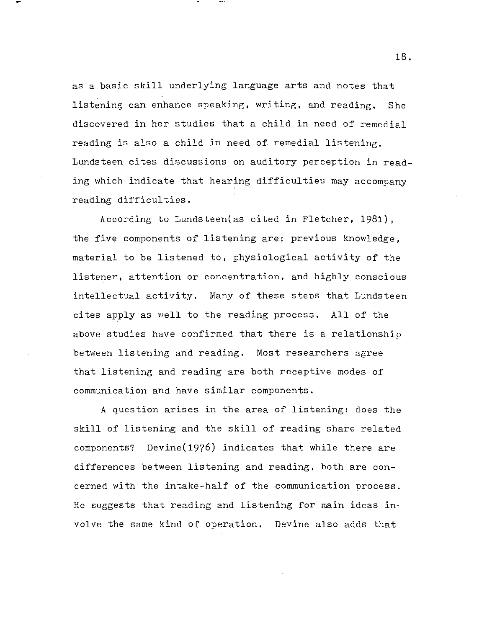as a basic skill underlying language arts and notes that listening can enhance speaking, writing, and reading. She discovered in her studies that a child in need of remedial reading is also a child in need of remedial listening. Lundsteen cites discussions on auditory perception in reading which indicate that hearing difficulties may accompany reading difficulties.

According to Lundsteen(as cited in Fletcher, 1981), the five components of listening are; previous knowledge, material to be listened to, physiological activity of the listener, attention or concentration, and highly conscious intellectual activity. Many of these steps that Lundsteen cites apply as well to the reading process. All of the above studies have confirmed that there is a relationship between listening and reading. Most researchers agree that listening and reading are both receptive modes of communication and have similar components.

A question arises in the area of listening: does the skill of listening and the skill of reading share related components? Devine(1976) indicates that while there are differences between listening and reading, both are concerned with the intake-half of the communication process. He suggests that reading and listening for main ideas involve the same kind of operation. Devine also adds that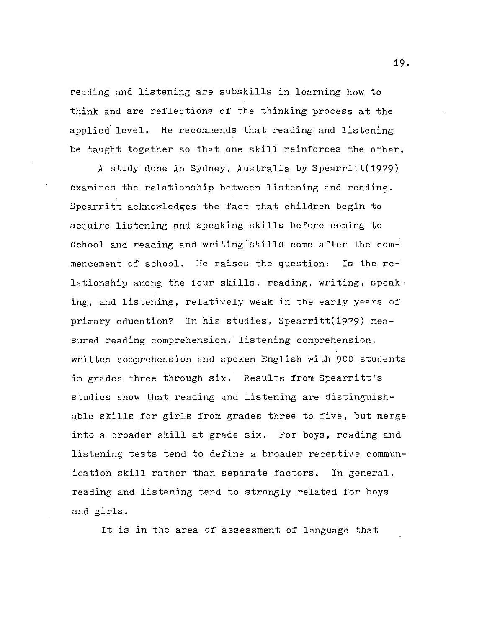reading and listening are subskills in learning how to think and are reflections of the thinking process at the applied. level. He recommends that reading and listening be taught together so that one skill reinforces the other.

A study done in Sydney, Australia by Spearritt(1979) examines the relationship between listening and reading. Spearritt acknowledges the fact that children begin to acquire listening and speaking skills before coming to school and reading and writing'skills come after the commencement of school. He raises the question: Is the re-· lationship among the four skills, reading, writing, speaking, and listening, relatively weak in the early years of primary education? In his studies, Spearritt(1979) measured reading comprehension, listening comprehension, written comprehension and spoken English with 900 students in grades three through six. Results from Spearritt's studies show that reading and listening are distinguishable skills for girls from grades three to five, but merge into a broader skill at grade six. For boys, reading and listening tests tend to define a broader receptive communication skill rather than separate factors. In general, reading and listening tend to strongly related for boys and girls.

It is in the area of assessment of language that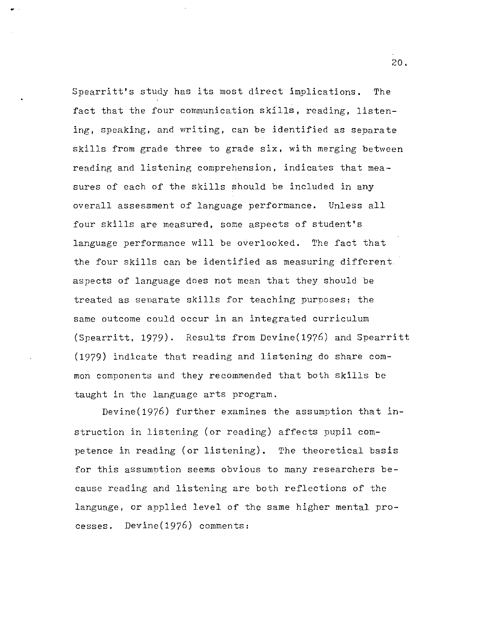Spearritt's study has its most direct implications. The fact that the four communication skills, reading, listening, speaking, and writing, can be identified as separate skills from grade three to grade aix, with merging between reading and listening comprehension, indicates that measures of each of the skills should be included in any overall assessment of language performance. Unless all four skills are measured, some aspects of student's language performance will be overlooked. The fact that the four skills can be identified as measuring different aspects of language does not mean that they should be treated as senarate skills for teaching purposes; the same outcome could occur in an integrated curriculum (Spearritt, 1979). Results from Devine(1976) and Spearritt (1979) indicate that reading and listening do share common components and they recommended that both skills be taught in the language arts program.

Devine(1976) further examines the assumption that instruction in listening (or reading) affects pupil competence in reading (or listening). The theoretical basis for this assumntion seems obvious to many researchers because reading and listening are both reflections of the language, or applied level of the same higher mental processes. Devine(1976) comments: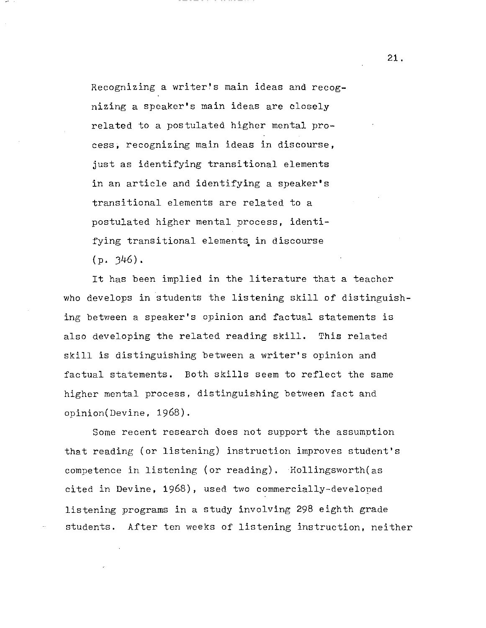Recognizing a writer's main ideas and recognizing a speaker's main ideas are closely related to a postulated higher mental process, recognizing main ideas in discourse, just as identifying transitional elements in an article and identifying a speaker's transitional elements are related to a postulated higher mental process, identifying transitional elements in discourse  $(p. 346)$ .

It has been implied in the literature that a teacher who develops in students the listening skill of distinguishing between a speaker's opinion and factual statements is also developing the related reading skill. This related skill is distinguishing between a writer's opinion and factual statements. Both skills seem to reflect the same higher mental process, distinguishing between fact and opinion(Devine, 1968).

Some recent research does not support the assumption that reading (or listening) instruction improves student's competence in listening (or reading), Hollingsworth(as cited in Devine, 1968), used two commercially-developed listening programs in a study involving 298 eighth grade students. After ten weeks of listening instruction, neither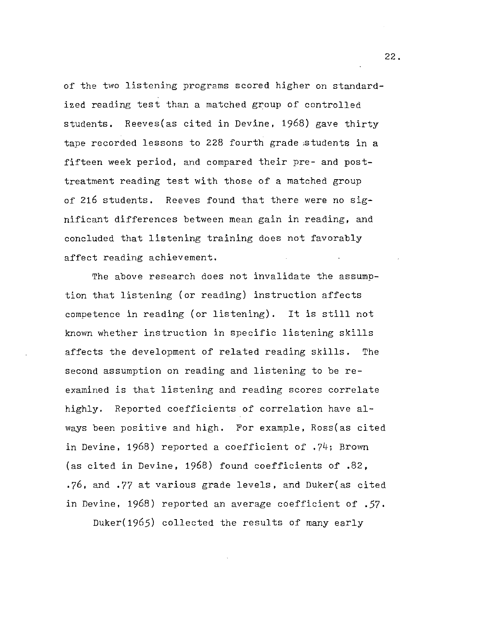of the two listening programs scored higher on standardized reading test than a matched group of controlled students. Reeves(as cited in Devine, 1968) gave thirty tape recorded lessons to 228 fourth grade ;students in a fifteen week period, and compared their pre- and posttreatment reading test with those of a matched group of 216 students. Reeves found that there were no significant differences between mean gain in reading, and concluded that listening training does not favorably affect reading achievement.

The above research does not invalidate the assumption that listening (or reading) instruction affects competence in reading (or listening). It is still not known whether instruction in specific listening skills affects the development of related reading skills. The second assumption on reading and listening to be reexamined is that listening and reading scores correlate highly. Reported coefficients of correlation have always been positive and high, For example, Ross(as cited in Devine, 1968) reported a coefficient of . 74; Brovm (as cited in Devine, 1968) found coefficients of .82, .76, and .77 at various grade levels, and Duker(as cited in Devine, 1968) reported an average coefficient of *,57.*  Duker(1965) collected the results of many early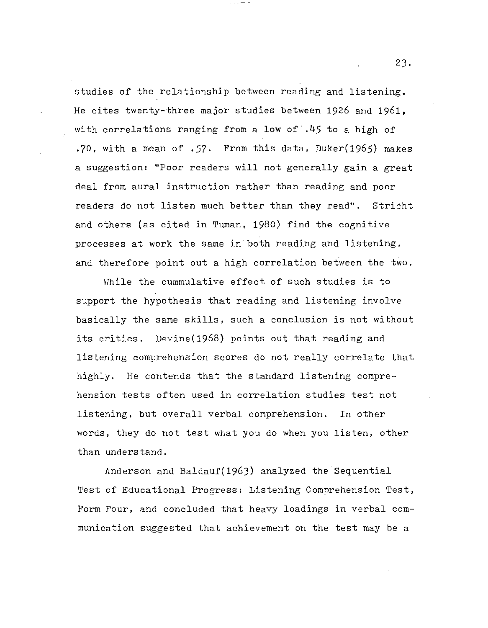studies of the relationship between reading and listening. He cites twenty-three major studies between 1926 and 1961, with correlations ranging from a low of .45 to a high of .70, with a mean of .57. From this data, Duker(1965) makes a suggestion: "Poor readers will not generally gain a great deal from aural instruction rather than reading and poor readers do not listen much better than they read". Stricht and others (as cited in Tuman, 1980) find the cognitive processes at work the same in'both reading and listening, and therefore point out a high correlation between the two.

While the cummulative effect of such studies is to support the hypothesis that reading and listening involve basically the same skills, such a conclusion is not without its critics. Devine(1968) points out that reading and listening comprehension scores do not really correlate that highly. He contends that the standard listening comprehension tests often used in correlation studies test not listening, but overall verbal comprehension. In other words, they do not test what you do when you listen, other than understand.

Anderson and Baldauf(196J) analyzed the Sequential Test of Educational Progress: Listening Comprehension Test, Form Four, and concluded that heavy loadings in verbal communication suggested that achievement on the test may be a

2J.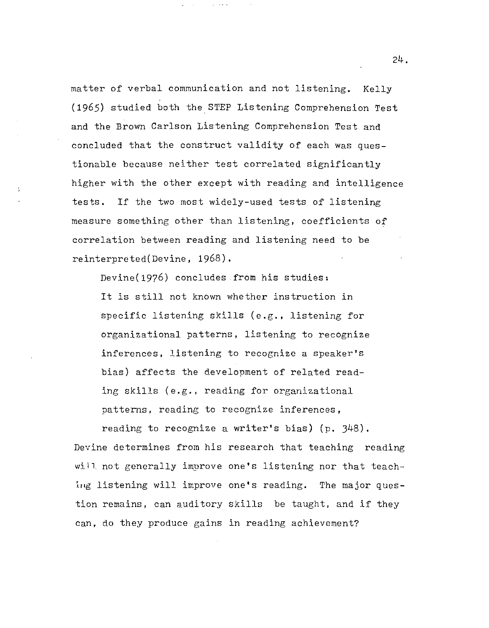matter of verbal communication and not listening. Kelly (1965) studied both the.STEP Listening Comprehension Test and the Brown Carlson Listening Comprehension Test and concluded that the construct validity of each was questionable because neither test correlated significantly higher with the other except with reading and intelligence tests. If the two most widely-used tests of listening measure something other than listening, coefficients of correlation between reading and listening need to be reinterpreted(Devine, 1968).

Devine(19?6) concludes .from his studies: It is still not known whether instruction in specific listening skills (e.g., listening for organizational patterns, listening to recognize inferences, listening to recognize a speaker's bias) affects the development of related reading skills (e.g., reading for organizational patterns, reading to recognize inferences,

reading to recognize a writer's bias) (p. 348). Devine determines from his research that teaching reading will not generally improve one's listening nor that teaching listening will improve one's reading. The major question remains, can auditory skills be taught, and if they can, do they produce gains in reading achievement?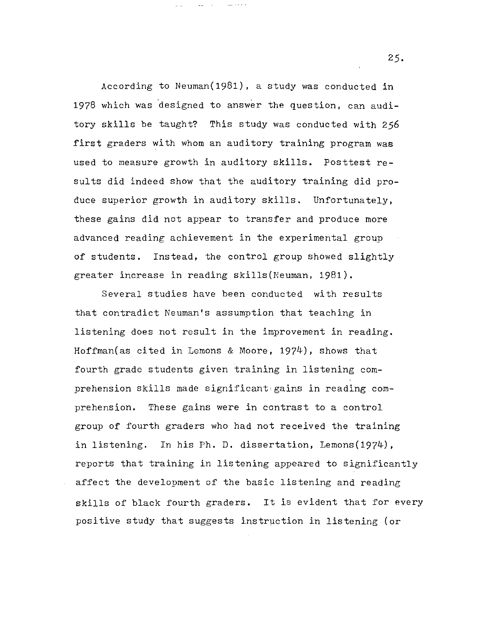According to Neuman(1981), a study was conducted in 1978 which was designed to answer the question, can auditory skills be taught? This study was conducted with 256 first graders with whom an auditory training program was used to measure growth in auditory skills. Posttest results did indeed show that the auditory training did produce superior growth in auditory skills. Unfortunately, these gains did not appear to transfer and produce more advanced reading achievement in the experimental group of students. Instead, the control group showed slightly greater increase in reading skills(Neuman, 1981).

Several studies have been conducted with results that contradict Neuman's assumption that teaching in listening does not result in the improvement in reading. Hoffman(as cited in Lemons & Moore, 1974), shows that fourth grade students given training in listening comprehension skills made significant:gains in reading comprehension. These gains were in contrast to a control group of fourth graders who had not received the training in listening. In his Ph. D. dissertation, Lemons(1974), reports that training in listening appeared to significantly affect the development of the basic listening and reading skills of black fourth graders. It is evident that for every positive study that suggests instruction in listening (or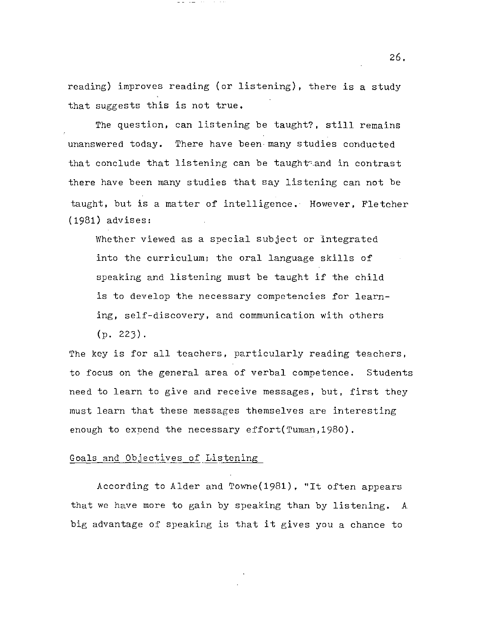reading) improves reading (or listening), there is a study that suggests this is not true.

The question, can listening be taught?, still remains unanswered today. There have been-many studies conducted that conclude that listening can be taught-and in contrast there have been many studies that say listening can not be taught, but is a matter of intelligence. However, Fletcher (1981) advises:

Whether viewed as a special subject or integrated into the curriculum; the oral language skills of speaking and listening must be taught if the child is to develop the necessary competencies for learning, self-discovery, and communication with others  $(p. 223)$ .

The key is for all teachers, particularly reading teachers, to focus on the general area of verbal competence. Students need to learn to give and receive messages, but, first they must learn that these messages themselves are interesting enough to expend the necessary effort(Tuman, 1980).

#### Goals and Objectives of Listening

According to Alder and Towne(1981), "It often appears that we have more to gain by speaking than by listening. A big advantage of speaking is that it gives you a chance to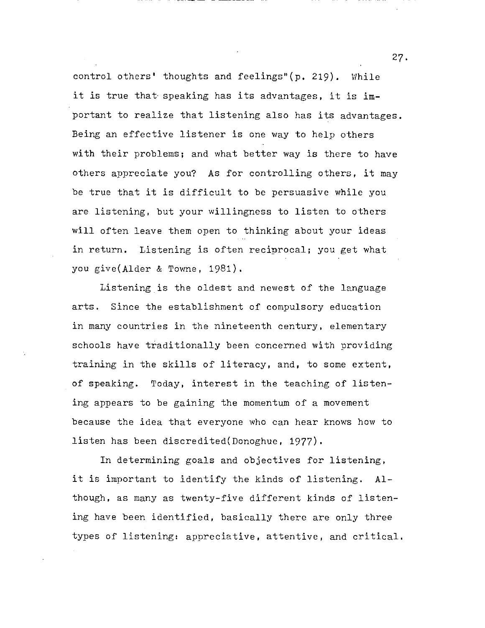control others' thoughts and feelings"(p. 219). While it is true that· speaking has its advantages, it is important to realize that listening also has its advantages. Being an effective listener is one way to help others with their problems; and what better way is there to have others appreciate you? As for controlling others, it may be true that it is difficult to be persuasive while you are listening, but your willingness to listen to others will often leave them open to thinking about your ideas in return. Listening is often reciprocal; you get what you give(Alder & Towne, 1981).

Listening is the oldest and newest of the language arts. Since the establishment of compulsory education in many countries in the nineteenth century, elementary schools have traditionally been concerned with providing training in the skills of literacy, and, to some extent, of speaking. Today, interest in the teaching of listening appears to be gaining the momentum of a movement because the idea that everyone who can hear knows how to listen has been discredited(Donoghue, 1977).

In determining goals and objectives for listening, it is important to identify the kinds of listening. Although, as many as twenty-five different kinds of listening have been identified, basically there are only three types of listening: appreciative, attentive, and critical.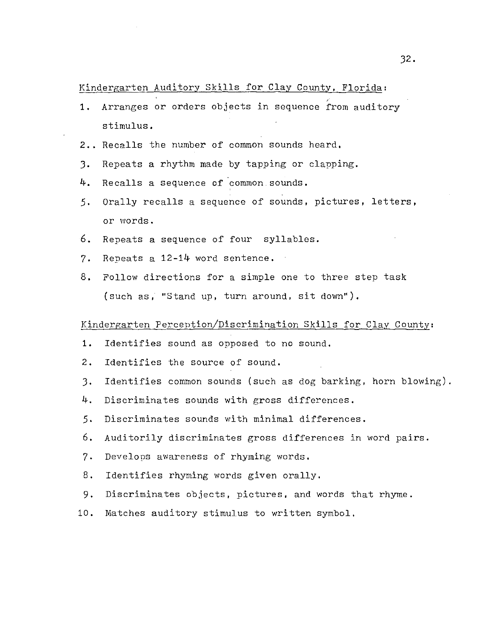#### Kindergarten Auditory Skills for Clay County, Florida:

- 1. Arranges or orders objects in sequence from auditory stimulus.
- 2.. Recalls the number of common sounds heard.
- J. Repeats a rhythm made by tapping or clapping.
- 4. Recalls a sequence of common sounds.
- 5. Orally recalls a sequence of sounds, pictures, letters, or words.
- 6. Repeats a sequence of four syllables.
- 7. Repeats a 12-14 word sentence.
- 8. Follow directions for a simple one to three step task (such as, "Stand up, turn around, sit down").

#### Kindergarten Perception/Discrimination Skills for Clay County:

- 1. Identifies sound as opposed to no sound.
- 2. Identifies the source of sound.
- J. Identifies common sounds (such as dog barking, horn blowing).
- 4. Discriminates sounds with gross differences.
- 5. Discriminates sounds with minimal differences.
- 6. Auditorily discriminates gross differences in word pairs.
- 7. Develops awareness of rhyming words.
- 8. Identifies rhyming words given orally.
- 9. Discriminates objects, pictures, and words that rhyme.
- 10. Matches auditory stimulus to written symbol.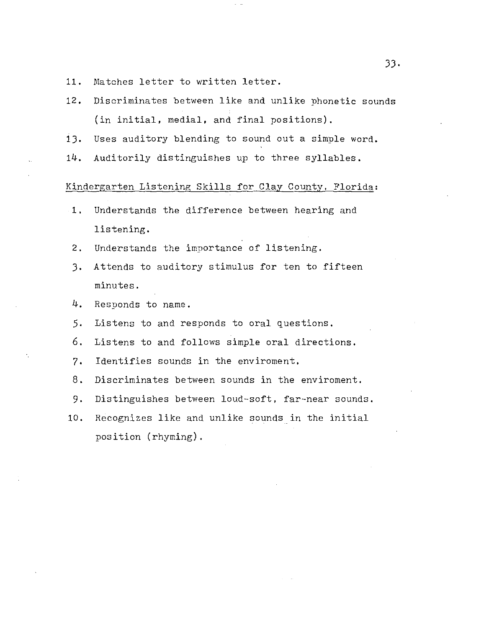- 11. Matches letter to written letter.
- 12. Discriminates between like and unlike phonetic sounds (in initial, medial, and final positions).
- 13. Uses auditory blending to sound out a simple word.
- 14. Auditorily distinguishes up to three syllables.

#### Kindergarten Listening Skills for Clay County, Florida:

- 1. Understands the difference between hearing and listening.
- 2. Understands the importance of listening.
- 3. Attends to auditory stimulus for ten to fifteen minutes.
- 4. Responds to name.
- 5. Listens to and responds to oral questions.
- 6. Listens to and follows simple oral directions.
- 7. Identifies sounds in the enviroment.
- 8. Discriminates between sounds in the enviroment.
- 9. Distinguishes between loud-soft, far-near sounds.
- 10. Recognizes like and unlike sounds in the initial position (rhyming).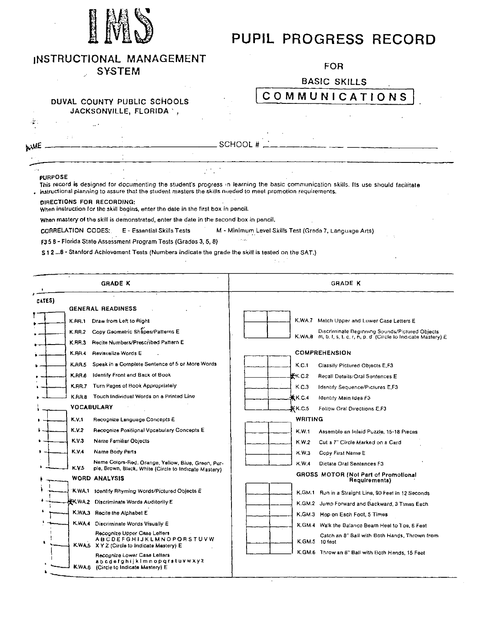

# **PUPIL PROGRESS RECORD**

| INSTRUCTIONAL MANAGEMENT |  |  |  |  |
|--------------------------|--|--|--|--|
| ^``^ <del>~</del> ~``    |  |  |  |  |

SYSTEM

 $\mathbb{R}^2$ 

DUVAL COUNTY PUBLIC SCHOOLS

## FOR

BASIC SKILLS

## COMMUNICATIONS

|                |                           | JACKSONVILLE, FLORIDA *                                                                                                                                                                                                                               |               |  |                                                        |  |  |
|----------------|---------------------------|-------------------------------------------------------------------------------------------------------------------------------------------------------------------------------------------------------------------------------------------------------|---------------|--|--------------------------------------------------------|--|--|
| . <del>м</del> |                           |                                                                                                                                                                                                                                                       |               |  |                                                        |  |  |
| wwE            | $2-7$                     |                                                                                                                                                                                                                                                       | SCHOOL#       |  |                                                        |  |  |
|                |                           |                                                                                                                                                                                                                                                       |               |  |                                                        |  |  |
|                | <b>PURPOSE</b>            | This record is designed for documenting the student's progress in learning the basic communication skills. Its use should facilitate<br>. instructional planning to assure that the student masters the skills nueded to meet promotion requirements. |               |  |                                                        |  |  |
|                | DIRECTIONS FOR RECORDING: | When instruction for the skill begins, enter the date in the first box in pencil.                                                                                                                                                                     |               |  |                                                        |  |  |
|                |                           | When mastery of the skill is demonstrated, enter the date in the second box in pencil.                                                                                                                                                                |               |  |                                                        |  |  |
|                | CORRELATION CODES:        | E - Essential Skills Tests                                                                                                                                                                                                                            |               |  | M - Minimum Level Skills Test (Grada 7, Language Arts) |  |  |
|                |                           | F3 5 8 - Florida State Assessment Program Tests (Grades 3, 5, 8)                                                                                                                                                                                      | وتوجه والمراد |  |                                                        |  |  |

 $\pm 1.1$ 

s 1 2 ... 8- Stanford Achievement Tests (Numbers indicate the grade the skill is tested on the SAT.)

 $\sim$ 

| <b>GRADE K</b>                     |                                                                                                             | <b>GRADE K</b> |                |                                                                                                                       |
|------------------------------------|-------------------------------------------------------------------------------------------------------------|----------------|----------------|-----------------------------------------------------------------------------------------------------------------------|
| CATES)<br><b>GENERAL READINESS</b> |                                                                                                             |                |                |                                                                                                                       |
| <b>K.RR.1</b>                      | Draw from Left to Right                                                                                     |                |                | K.WA.7 Match Upper and Luwer Case Letters E                                                                           |
| <b>K.RR.2</b><br>K.RR.3            | Copy Geometric Shapes/Patterns E<br>Recite Numbers/Prescribed Pattern E                                     |                |                | Discriminate Beginning Sounds/Pictured Objects<br>K.WA, B m, b, t, s, t, c, r, h, p, d (Circle to Indicate Mastery) E |
| K.RR.4                             | Revisualize Words E                                                                                         |                |                | <b>COMPREHENSION</b>                                                                                                  |
| K.RR.S                             | Speak in a Complete Sentence of 5 or More Words                                                             |                | K.C.1          | Classify Pictured Objects E.F3                                                                                        |
| <b>KRR8</b>                        | <b>Identify Front and Back of Book</b>                                                                      |                | <b>*</b> K.C.2 | Recall Details/Oral Sentences E                                                                                       |
| K.RR.7                             | Turn Pages of Book Appropriately                                                                            |                | K.C.3          | <b>Identify Sequence/Pictures E,F3</b>                                                                                |
| K.AR.8                             | Touch Individual Words on a Printed Line                                                                    |                | 兼K.C.4         | Identify Main Idea F3                                                                                                 |
| <b>VOCABULARY</b>                  |                                                                                                             |                | KK C 5         | Follow Oral Directions E.F3                                                                                           |
| K.V.T                              | Recognize Language Concepts E                                                                               |                | WRITING        |                                                                                                                       |
| K.V.2                              | Recognize Positional Vocabulary Concepts E                                                                  |                | K.W.1          | Assemble an Inlaid Puzzle, 15-18 Pieces                                                                               |
| K.V.3                              | Name Familiar Objects                                                                                       |                | K.W.2          | Cut a 7" Circle Marked on a Card                                                                                      |
| K.V 4                              | Name Body Parts                                                                                             |                | K.W.3          | Copy First Name E                                                                                                     |
| K.V.5                              | Name Colors-Red, Orange, Yellow, Blue, Green, Pur-<br>ple, Brown, Black, White (Circle to Indicate Mastery) |                | K.W.4          | Dictate Oral Sentences F3                                                                                             |
| WORD ANALYSIS                      |                                                                                                             |                |                | GROSS MOTOR (Not Part of Promotional<br>Requirements)                                                                 |
|                                    | K.WA.1 Identify Rhyming Words/Pictured Objects E                                                            |                |                | K.GM.1 Run in a Straight Line, 90 Feet in 12 Seconds                                                                  |
|                                    | <b>KK.WA.2</b> Discriminate Words Auditorily E                                                              |                |                | K.GM.2 Jump Forward and Backward, 3 Times Each                                                                        |
|                                    | K.WA.3 Recite the Alphabet E                                                                                |                |                | K.GM.3 Hop on Each Foot, 5 Times                                                                                      |
|                                    | K.WA.4 Diacriminate Words Visually E                                                                        |                |                | K.GM.4 Walk the Balance Beam Heel to Toe, 6 Feet                                                                      |
|                                    | Recognize Upper Case Letters<br><b>ABCDEFGHIJKLMNOPORSTUVW</b><br>KWAS XYZ (Circle to Indicate Mestery) E   |                | K.GM.S         | Catch an 8" Ball with Both Hands, Thrown from<br>10 feet                                                              |
|                                    | Recognize Lower Case Letters<br>abcdefahijkimnopgratuvwxyz<br>K.WA.6 (Circle to Indicate Mastery) E         |                |                | K.GM.6 Throw an 8" Ball with Both Hands, 15 Feet                                                                      |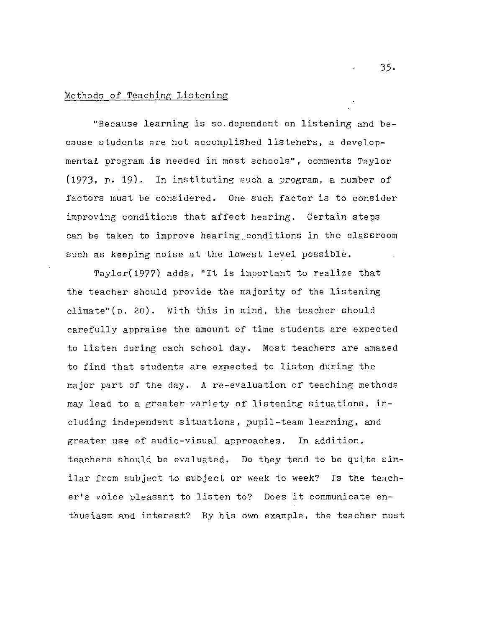#### Methods of Teaching Listening

"Because learning is so dependent on listening and because students are not accomplished listeners, a developmental program is needed in most schools", comments Taylor (1973, p. 19). In instituting such a program, a number of factors must be considered. One such factor is to consider improving conditions that affect hearing. Certain steps can be taken to improve hearing.conditions in the classroom such as keeping noise at the lowest level possible.

Taylor(1977) adds, "It is important to realize that the teacher should provide the majority of the listening climate"( $p. 20$ ). With this in mind, the teacher should carefully appraise the amount of time students are expected to listen during each school day. Most teachers are amazed to find that students are expected to listen during the major part of the day. A re-evaluation of teaching methods may lead to a greater variety of listening situations, including independent situations, pupil-team learning, and greater use of audio-visual approaches. In addition, teachers should be evaluated. Do they tend to be quite similar from subject to subject or week to week? Is the teacher's voice pleasant to listen to? Does it communicate enthusiasm and interest? By his own example, the teacher must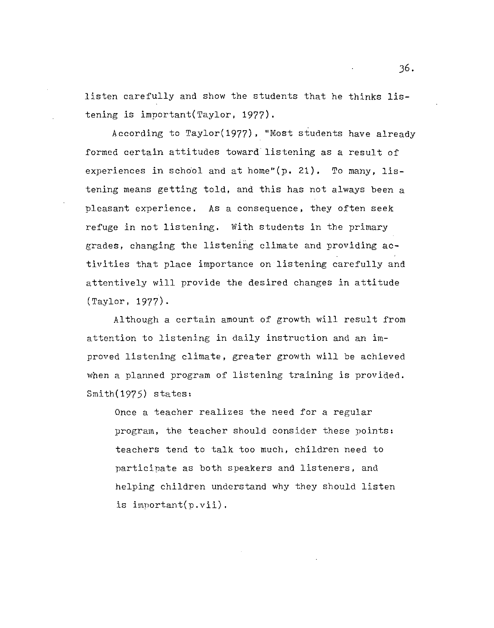listen carefully and show the students that he thinks listening is important(Taylor, 1977).

According to Taylor(1977), ''Most students have already formed certain attitudes toward listening as a result of experiences in school and at home"(p. 21). To many, listening means getting told, and this has not always been a pleasant experience. As a consequence, they often seek refuge in not listening. With students in the primary grades, changing the listening climate and providing activities that place importance on listening carefully and attentively will provide the desired changes in attitude (Taylor, 1977).

Although a certain amount of growth will result from attention to listening in daily instruction and an improved listening climate, greater growth will be achieved when a planned program of listening training is provided. Smith(1975) states:

Once a teacher realizes the need for a regular program, the teacher should consider these points: teachers tend to talk too much, children need to participate as both speakers and listeners, and helping children understand why they should listen is important(p.vii).

J6.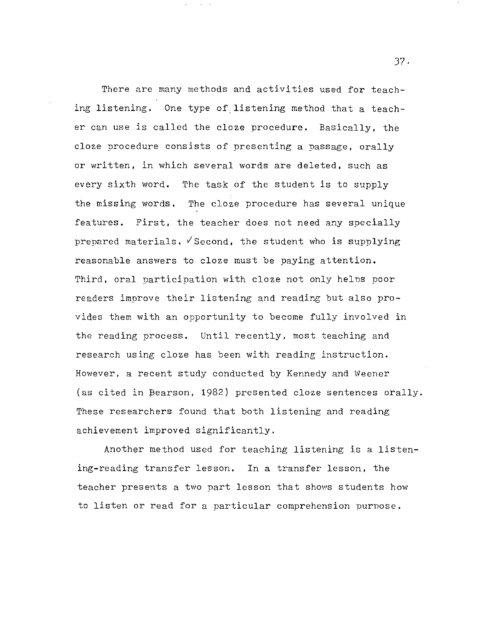There are many methods and activities used for teaching listening. One type of.listening method that a teacher can use is called the cloze procedure. Basically, the cloze nrocedure consists of presenting a passage, orally or written, in which several words are deleted, such as every sixth word. The task of the student is to supply the missing words. The cloze procedure has several unique features. First, the teacher does not need any specially prepared materials.  $\sqrt{s}$  second, the student who is supplying reasonable answers to cloze must be paying attention. Third, oral participation with cloze not only helns poor readers improve their listening and reading but also provides them with an opportunity to become fully involved in the reading process. Until recently, most teaching and research using cloze has been with reading instruction. However, a recent study conducted by Kennedy and Weener (as cited in Bearson, 1982) presented cloze sentences orally. These researchers found that both listening and reading achievement improved significantly.

Another method used for teaching listening is a listening-reading transfer lesson. In a transfer lesson, the teacher presents a two part lesson that shows students how to listen or read for a particular comprehension purpose.

J7.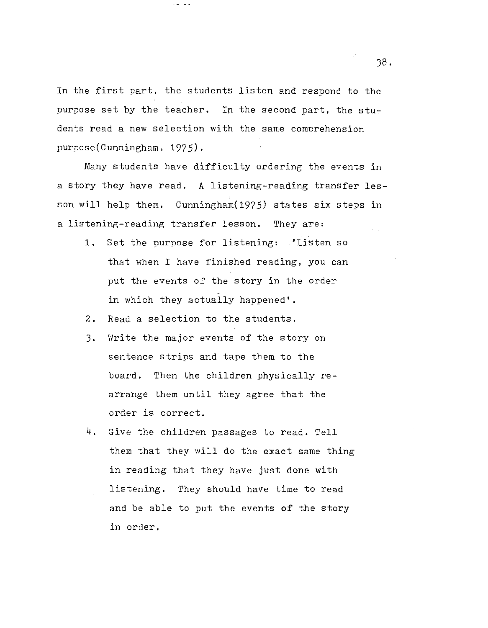In the first part, the students listen and respond to the purpose set by the teacher. In the second part, the students read a new selection with the same comprehension purpose(Cunningham, 1975).

Many students have difficulty ordering the events in a story they have read. A listening-reading transfer lesson will help them. Cunningham(1975) states six steps in a listening-reading transfer lesson. They are:

- 1. Set the purpose for listening: "Listen so that when I have finished reading, you can put the events of the story in the order in which they actually happened'.
- 2. Read a selection to the students.
- J. Write the major events of the story on sentence strips and tape them to the board. Then the children physically rearrange them until they agree that the order is correct.
- 4. Give the children passages to read. Tell them that they will do the exact same thing in reading that they have just done with listening. They should have time to read and be able to put the events of the story in order.

J8.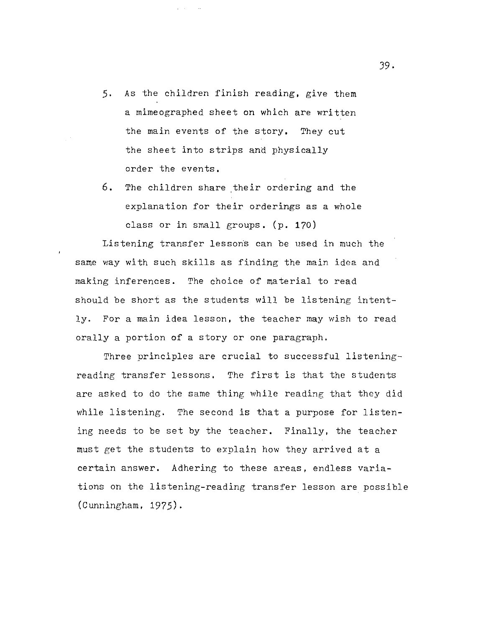- 5. As the children finish reading, give them a mimeographed sheet on which are written the main events of the story. They cut the sheet into strips and physically order the events.
- 6. The children share their ordering and the explanation for their orderings as a whole class or in small groups. (p. 170)

Listening transfer lessoris can be used in much the same way with such skills as finding the main idea and making inferences. The choice of material to read should be short as the students will be listening intently. For a main idea lesson, the teacher may wish to read orally a portion of a story or one paragraph.

Three principles are crucial to successful listeningreading transfer lessons. The first is that the students are asked to do the same thing while reading that they did while listening. The second is that a purpose for listening needs to be set by the teacher. Finally, the teacher must get the students to explain how they arrived at a certain answer. Adhering to these areas, endless variations on the listening-reading transfer lesson are possible (Cunningham, 1975).

J9.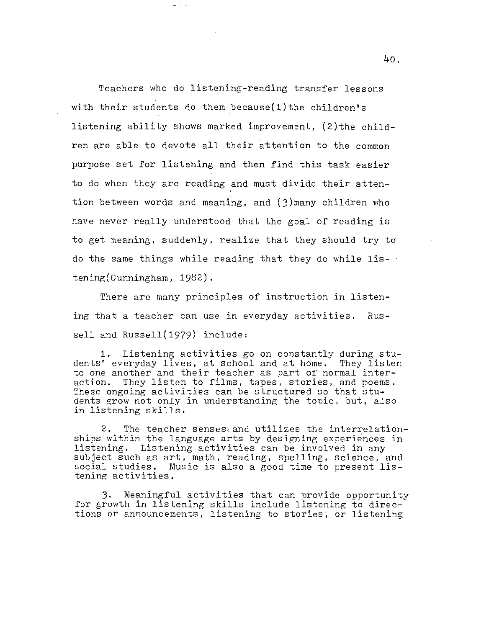Teachers who do listening-reading transfer lessons with their students do them because $(1)$  the children's listening ability shows marked improvement,  $(2)$  the children are able to devote all their attention to the common purpose set for listening and then find this task easier to do when they are reading and must divide their attention between words and meaning, and (J)many children who have never really understood that the goal of reading is to get meaning, suddenly, realize that they should try to do the same things while reading that they do while listening(Cunningham, 1982).

There are many principles of instruction in listening that a teacher can use in everyday activities. Russell and Russell(1979) include:

1. Listening activities go on constantly during students' everyday lives, at school and at home. They listen to one another and their teacher as part of normal interaction. They listen to films, tapes, stories, and poems. These ongoing activities can be structured so that students grow not only in understanding the topic, but, also in listening skills.

2. The teacher sensescand utilizes the interrelationships within the language arts by designing experiences in listening. Listening activities can be involved in any subject such as art, math, reading, spelling, science, and social studies. Music is also a good time to present listening activities.

3. Meaningful activities that can provide opportunity for growth in listening skills include listening to directions or announcements, listening to stories, or listening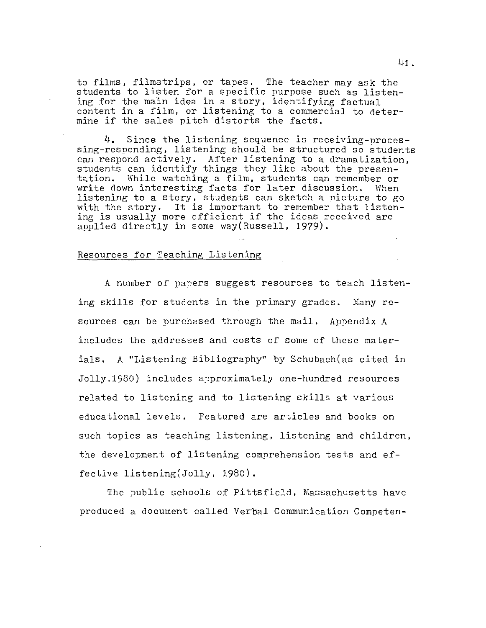to films, filmstrips, or tapes. The teacher may ask the students to listen for a specific purpose such as listening for the main idea in a story, identifying factual content in a film, or listening to a commercial to determine if the sales pitch distorts the facts.

4. Since the listening sequence is receiving-processing-responding, listening should be structured so students can respond actively. After listening to a dramatization, students can identify things they like about the presentation. While watching a film, students can remember or write down interesting facts for later discussion. listening to a story, students can sketch a picture to go with the story. It is important to remember that listening is usually more efficient if the ideas received are applied directly in some way(Russell, 1979).

## Resources for Teaching Listening

A number of paners suggest resources to teach listening skills for students in the primary grades. Many resources can be purchased through the mail. Appendix A includes the addresses and costs of some of these materials. A "Listening Bibliography" by Schubach(as cited in Jolly,1980) includes approximately one-hundred resources related to listening and to listening skills at various educational levels. Featured are articles and books on such topics as teaching listening, listening and children, the development of listening comprehension tests and effective listening(Jolly, 1980).

The public schools of Pittsfield, Massachusetts have produced a document called Verbal Communication Competen-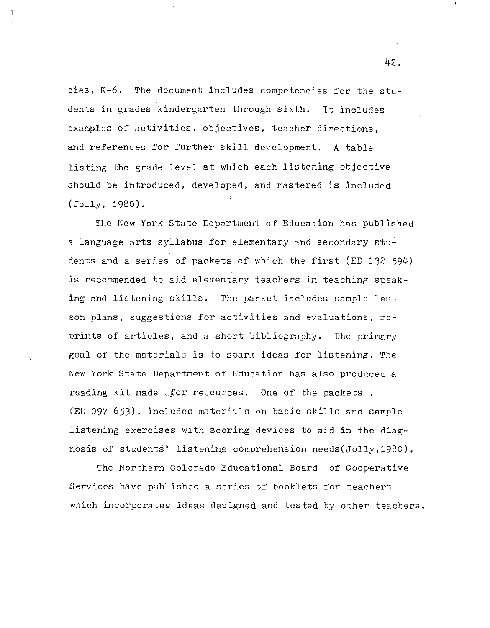cies, K-6. The document includes competencies for the students in grades kindergarten through sixth. It includes examples of activities, objectives, teacher directions, and references for further skill development. A table listing the grade level at which each listening objective should be introduced, developed, and mastered is included (Jolly, 1980).

The New York State Department of Education has published a language arts syllabus for elementary and secondary students and a series of packets of which the first (ED 132 594) is recommended to aid elementary teachers in teaching speaking and listening skills. The packet includes sample lesson plans, suggestions for activities and evaluations, reprints of articles, and a short bibliography. The primary goal of the materials is to spark ideas for listening. The New York State Department of Education has also produced a reading kit made wfor resources. One of the packets, (ED 097 653), includes materials on basic skills and sample listening exercises with scoring devices to aid in the diagnosis of students' listening comprehension needs(Jolly,1980).

The Northern Colorado Educational Board of Cooperative Services have published a series of booklets for teachers which incorporates ideas designed and tested by other teachers.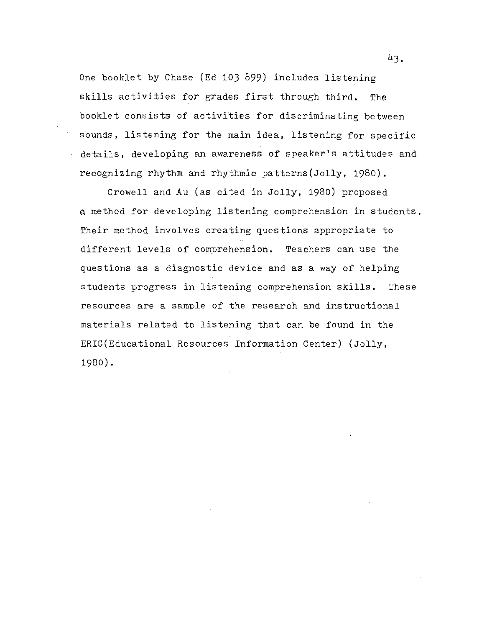One booklet by Chase (Ed 103 899) includes listening skills activities for grades first through third. The booklet consists of activities for discriminating between sounds, listening for the main idea, listening for specific details, developing an awareness of speaker's attitudes and recognizing rhythm and rhythmic patterns(Jolly, 1980),

Crowell and Au (as cited in Jolly, 1980) proposed Q method for developing listening comprehension in students. Their method involves creating questions appropriate to different levels of comprehension. Teachers can use the questions as a diagnostic device and as a way of helping students progress in listening comprehension skills. These resources are a sample of the research and instructional materials related to listening that can be found in the ERIC(Educational Resources Information Center) (Jolly, 1980).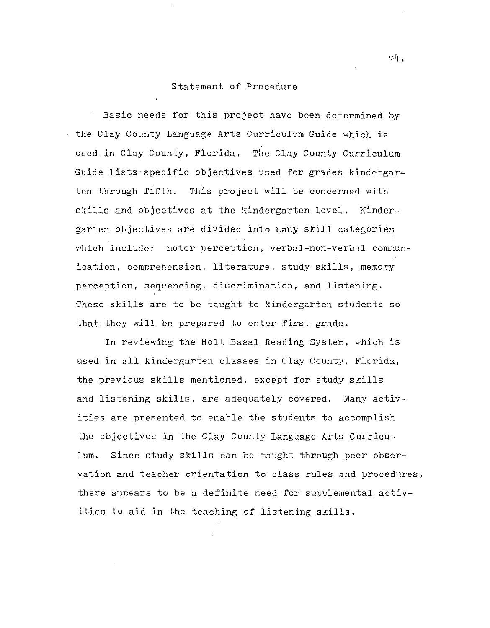#### Statement of Procedure

Basic needs for this project have been determined by the Clay County Language Arts Curriculum Guide which is used in Clay County, Florida. The Clay County Curriculum Guide lists-specific objectives used for grades kindergarten through fifth. This project will be concerned with skills and objectives at the kindergarten level. Kindergarten objectives are divided into many skill categories which include: motor perception, verbal-non-verbal communication, comprehension, literature, study skills, memory perception, sequencing, discrimination, and listening. These skills are to be taught to kindergarten students so that they will be prepared to enter first grade.

In reviewing the Holt Basal Reading System, which is used in all kindergarten classes in Clay County, Florida, the previous skills mentioned, except for study skills and listening skills, are adequately covered. Many activities are presented to enable the students to accomplish the objectives in the Clay County Language Arts Curriculum. Since study skills can be taught through peer observation and teacher orientation to class rules and procedures, there appears to be a definite need for supplemental activities to aid in the teaching of listening skills.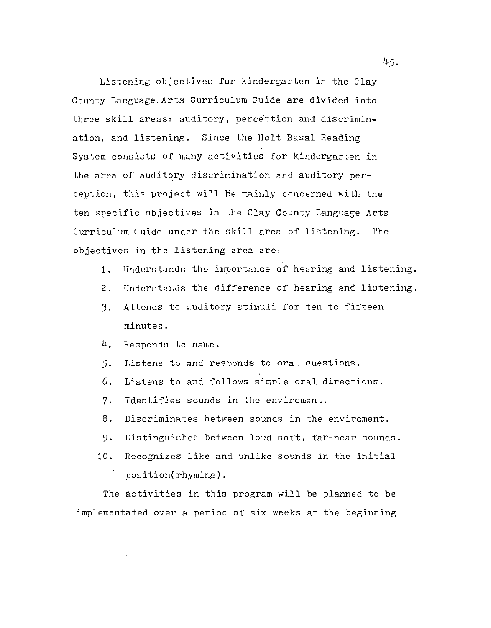Listening objectives for kindergarten in the Clay County Language.Arts Curriculum Guide are divided into three skill areas: auditory, perception and discrimination. and listening. Since the Holt Basal Reading System consists of many activities for kindergarten in the area of auditory discrimination and auditory perception, this project will be mainly concerned with the ten specific objectives in the Clay County Language Arts Curriculum Guide under the skill area of listening. The objectives in the listening area are:

- 1. Understands the importance of hearing and listening.
- 2. Understands the difference of hearing and listening.
- J. Attends to auditory stimuli for ten to fifteen minutes.
- 4. Responds to name.
- 5. Listens to and responds to oral questions.
- 6. Listens to and follows\_simple oral directions.
- 7. Identifies sounds in the enviroment.
- 8. Discriminates between sounds in the enviroment.
- 9. Distinguishes between loud-soft, far-near sounds.
- 10. Recognizes like and unlike sounds in the initial position(rhyming).

The activities in this program will be planned to be implementated over a period of six weeks at the beginning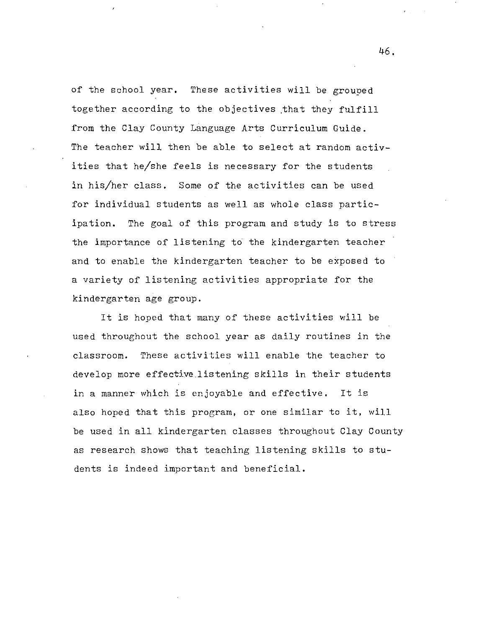of the school year. These activities will be grouped together according to the objectives that they fulfill from the Clay County Language Arts Curriculum Guide. The teacher will then be able to select at random activities that he/she feels is necessary for the students in his/her class. Some of the activities can be used for individual students as well as whole class partieipation. The goal of this program and study is to stress the importance of listening to' the kindergarten teacher and to enable the kindergarten teacher to be exposed to a variety of listening activities appropriate for the kindergarten age group.

It is hoped that many of these activities will be used throughout the school year as daily routines in the classroom. These activities will enable the teacher to develop more effective listening skills in their students in a manner which is enjoyable and effective. It is also hoped that this program, or one similar to it, will be used in all kindergarten classes throughout Clay County as research shows that teaching listening skills to students is indeed important and beneficial.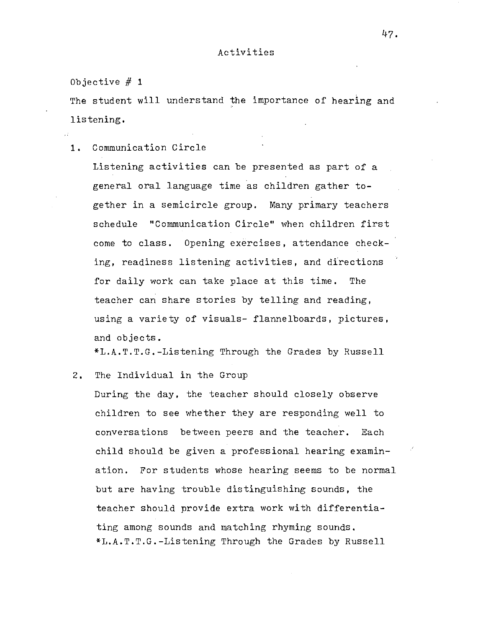The student will understand the importance of hearing and listening.

1. Communication Circle

Listening activities can be presented as part of a general oral language time as children gather together in a semicircle group. Many primary teachers schedule "Communication Circle" when children first come to class. Opening exercises, attendance checking, readiness listening activities, and directions for daily work can take place at this time. The teacher can share stories by telling and reading, using a variety of visuals- flannelboards, pictures, and objects.

\*L.A.T.T.G.-Listening Through the Grades by Russell

2. The Individual in the Group

During the day, the teacher should closely observe children to see whether they are responding well to conversations between peers and the teacher. Each child should be given a professional hearing examination. For students whose hearing seems to be normal but are having trouble distinguishing sounds, the teacher should provide extra work with differentiating among sounds and matching rhyming sounds. \*L.A.T.T.G.-Listening Through the Grades by Russell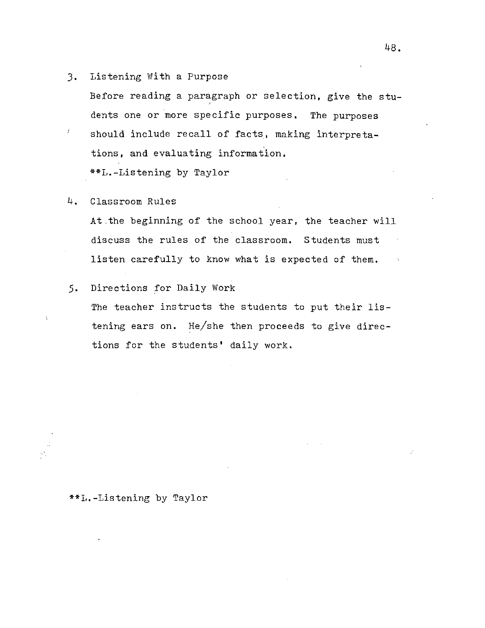3. Listening With a Purpose

Before reading a paragraph or selection, give the students one or more specific purposes. The purposes

 $\hat{I}$ should include recall of facts, making interpretations, and evaluating information. \*\*L.-Listening by Taylor

## 4. Classroom Rules

At.the beginning of the school year, the teacher will discuss the rules of the classroom. Students must listen carefully to know what is expected of them.

## 5. Directions for Daily Work

The teacher instructs the students to put their listening ears on. He/she then proceeds to give directions for the students' daily work.

## \*\*L.-Listening by Taylor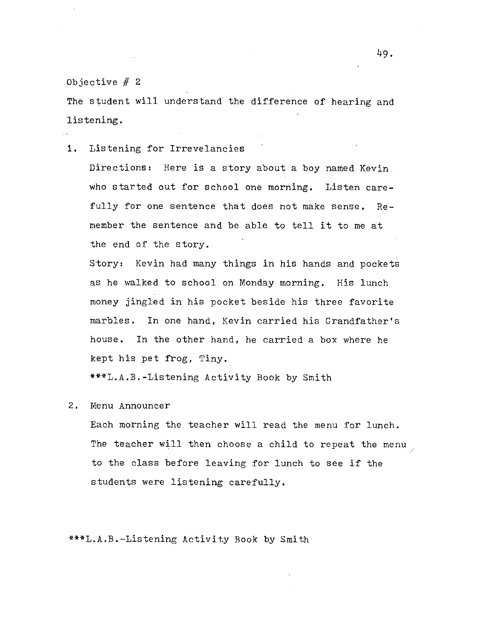$\sim$  1

The student will understand the difference of hearing and listening.

1. Listening for Irrevelancies

Directions: Here is a story about a boy named Kevin. who started out for school one morning. Listen carefully for one sentence that does not make sense. Remember the sentence and be able to tell it to me at the end of the story.

Story: Kevin had many things in his hands and pockets as he walked to school on Monday morning. His lunch money jingled in his pocket beside his three favorite marbles. In one hand, Kevin carried his Grandfather's house. In the other hand, he carried a box where he kept his pet frog, Tiny.

\*\*\*L.A.B.-Listening Activity Book by Smith

#### 2. Menu Announcer

Each morning the teacher will read the menu for lunch. The teacher will then choose a child to repeat the menu to the class before leaving for lunch to see if the students were listening carefully.

\*\*\*L.A.B.-Listening Activity Book by Smith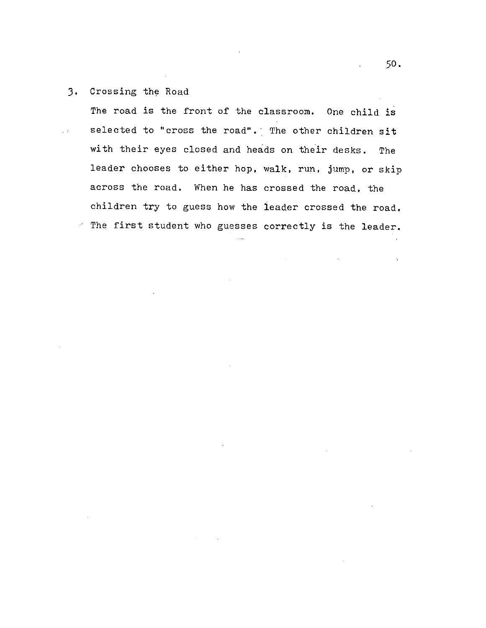3. Crossing the Road

The road is the front of the classroom. One child is selected to "cross the road". The other children sit  $\hat{r}(\hat{t})$ with their eyes closed and heads on their desks. The leader chooses to either hop, walk, run, jump, or skip across the road. When he has crossed the road, the children try to guess how the leader crossed the road. ~ The first student who guesses correctly is the leader.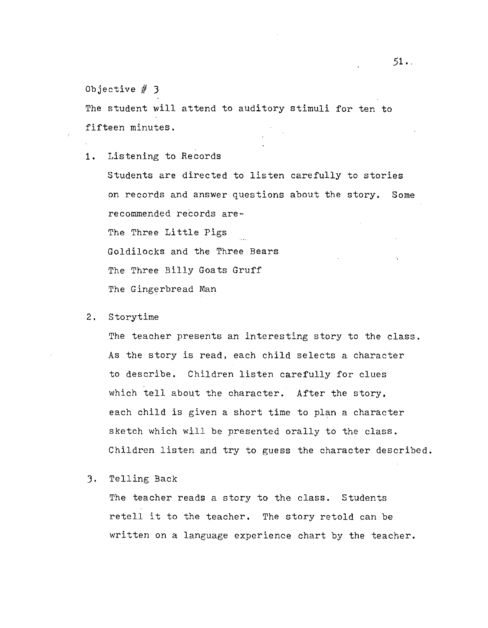The student will attend to auditory stimuli for ten to fifteen minutes.

1. Listening to Records

Students are directed to listen carefully to stories on records and answer questions about the story. Some recommended records are-The Three Little Pigs Goldilocks and the Three Bears The Three Billy Goats Gruff The Gingerbread Man

2. Storytime

The teacher presents an interesting story to the class. As the story is read, each child selects a character to describe. Children listen carefully for clues which tell about the character. After the story, each child is given a short time to plan a character sketch which will be presented orally to the class. Children listen and try to guess the character described.

J. Telling Back

The teacher reads a story to the class. Students retell it to the teacher. The story retold can be written on a language experience chart by the teacher.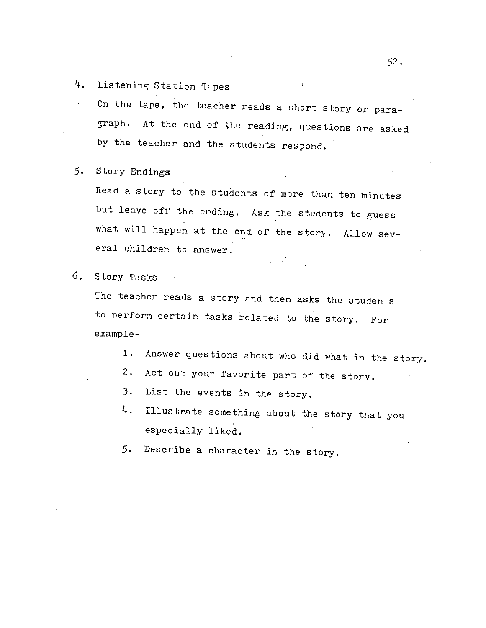4. Listening Station Tapes

On the tape, the teacher reads a short story or paragraph. At the end of the reading, questions are asked by the teacher and the students respond.

*5.* Story Endings

Read a story to the students of more than ten minutes but leave off the ending. Ask the students to guess what will happen at the end of the story. Allow several children to answer.

6. Story Tasks

The teacher reads a story and then asks the students to perform certain tasks related to the story. For example-

- 1. Answer questions about who did what in the story.
- 2. Act out your favorite part of the story.
- J. List the events in the story.
- 4. Illustrate something about the story that you especially liked.
- *5.* Describe a character in the story.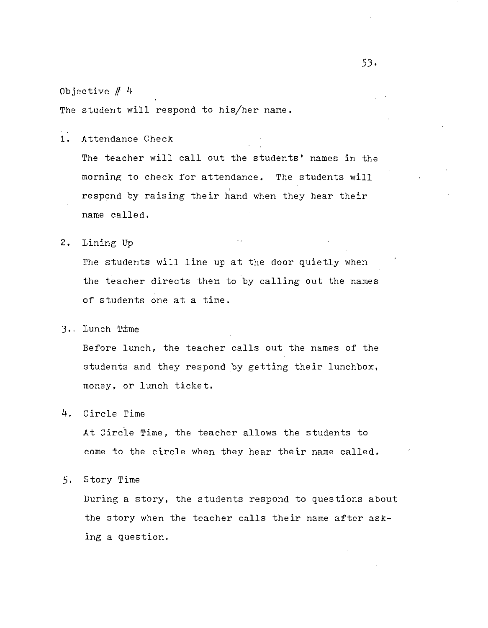The student will respond to his/her name.

 $\overline{1}$ . Attendance Check

> The teacher will call out the students' names in the morning to check for attendance. The students will respond by raising their hand when they hear their name called.

2. Lining Up

The students will line up at the door quietly when the teacher directs them to by calling out the names of students one at a time.

3. . Lunch T±me

Before lunch, the teacher calls out the names of the students and they respond by getting their lunchbox, money, or lunch ticket.

4. Circle Time

At Circle Time, the teacher allows the students to come to the circle when they hear their name called.

5. Story Time

During a story, the students respond to questions about the story when the teacher calls their name after asking a question.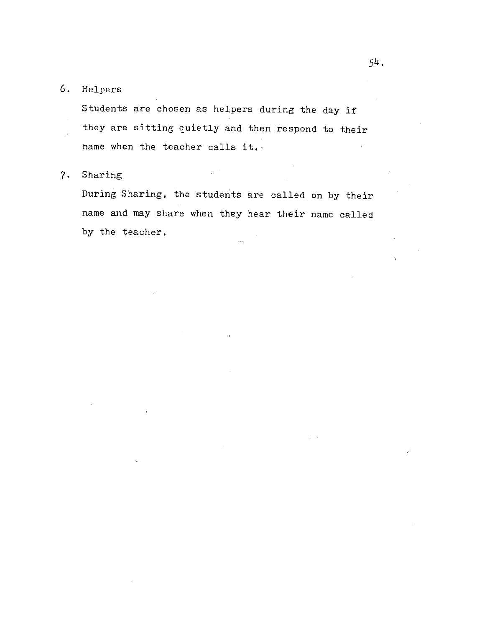# 6. Helpers

Students are chosen as helpers during the day if they are sitting quietly and then respond to their name when the teacher calls it.

## 7. Sharing

During Sharing, the students are called on by their name and may share when they hear their name called by the teacher.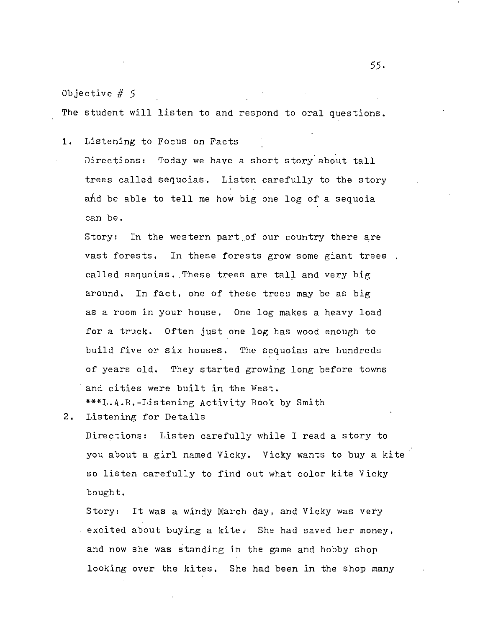The student will listen to and respond to oral questions.

1. Listening to Focus on Facts

Directions: Today we have a short story about tall trees called sequoias. Listen carefully to the story and be able to tell me how big one log of a sequoia can be.

Story: In the western part of our country there are vast forests. In these forests grow some giant trees called sequoias. These trees are tall and very big around. In fact, one of these trees may be as big as a room in your house. One log makes a heavy load for a truck. Often just one log has wood enough to build five or six houses. The sequoias are hundreds of years old. They started growing long before tovms and cities were built in the West. \*\*\*L.A.B.-Listening Activity Book by Smith

2. Listening for Details

Directions: Listen carefully while I read a story to you about a girl named Vicky. Vicky wants to buy a kite so listen carefully to find out what color kite Vicky bought.

Story: It was a windy March day, and Vicky was very excited about buying a kite. She had saved her money, and now she was standing in the game and hobby shop looking over the kites, She had been in the shop many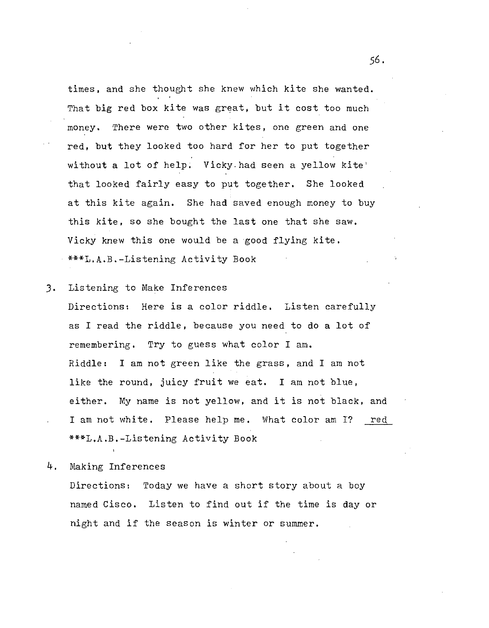times, and she thought she knew which kite she wanted. That big red box kite was great, but it cost too much money. There were two other kites, one green and one red, but they looked too hard for her to put together without a lot of help. Vicky had seen a yellow kite' that looked fairly easy to put together. She looked at this kite again. She had saved enough money to buy this kite, so she bought the last one that she saw. Vicky knew this one would be a good flying kite. \*\*\*L.A.B.-Listening Activity Book

J. Listening to Make Inferences

Directions: Here is a color riddle. Listen carefully as I read the riddle, because you need to do a lot of remembering. Try to guess what color I am. Riddle: I am not green like the grass, and I am not like the round, juicy fruit we eat. I am not blue, either. My name is not yellow, and it is not black, and I am not white. Please help me. What color am I? red \*\*\*L.A.B.-Listening Activity Book

4. Making Inferences

Directions: Today we have a short story about a boy named Cisco. Listen to find out if the time is day or night and if the season is winter or summer.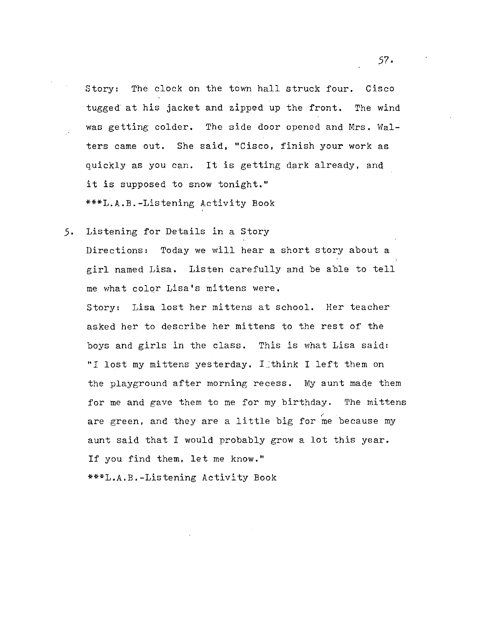Story: The clock on the town hall struck four. Cisco tugged at his jacket and zipped up the front. The wind was getting colder. The side door opened and Mrs. Walters came out. She said, "Cisco, finish your work as quickly as you can. It is getting dark already, and it is supposed to snow tonight." \*\*\*L.A.B.-Listening Activity Book

*5.* Listening for Details in a Story Directions: Today we will hear a short story about a girl named Lisa. Listen carefully and be able to tell me what colqr Lisa's mittens were.

Story: Lisa lost her mittens at school. Her teacher asked her to describe her mittens to the rest of the boys and girls in the class. This is what Lisa said: "I lost my mittens yesterday. I think I left them on the playground after morning recess. My aunt made them for me and gave them to me for my birthday. The mittens are green, and they are a little big for me because my aunt said that I would probably grow a lot this year. If you find them, let me know."

\*\*\*L.A.B.-Listening Activity Book

*57·*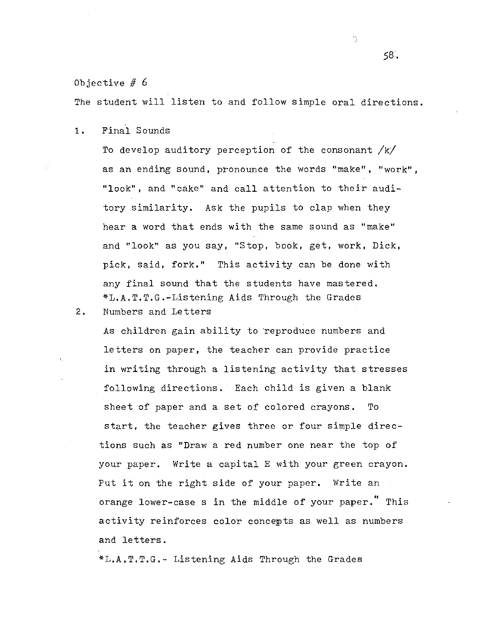The student will listen to and follow simple oral directions.

1. Final Sounds

To develop auditory perception of the consonant  $/k/$ as an ending sound, pronounce the words "make", "work", "look", and "cake" and call attention to their auditory similarity. Ask the pupils to clap when they hear a word that ends with the same sound as "make" and "look" as you say, "Stop, book, get, work, Dick, pick, said, fork." This activity can be done with any final sound that the students have mastered. \*L.A.T.T.G.-Listening Aids Through the Grades 2. Numbers and Letters

As children gain ability to 'reproduce numbers and letters on paper, the teacher can provide practice in writing through a listening activity that stresses following directions. Each child is given a blank sheet of paper and a set of colored crayons. To start, the teacher gives three or four simple directions such as "Draw a red number one near the top of your paper. Write a capital E with your green crayon. Put it on the right side of your paper. Write an orange lower-case s in the middle of your paper." This activity reinforces color concepts as well as numbers and letters.

\*L.A.T.T.G.- Listening Aids Through the Grades

*58.* 

Ÿ.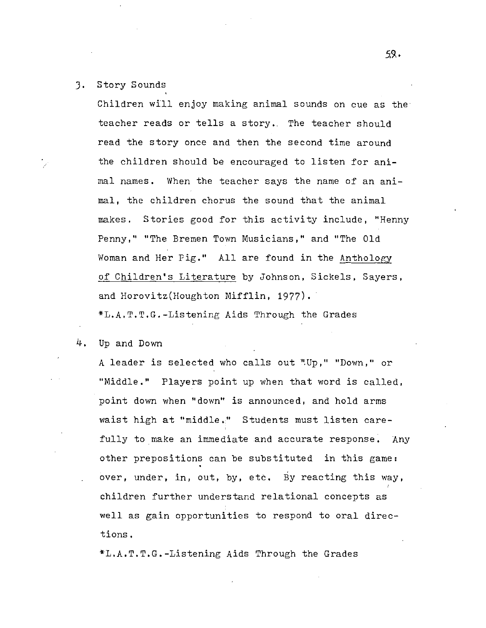### J. Story Sounds

Children will enjoy making animal sounds on cue as the teacher reads or tells a story. The teacher should read the story once and then the second time around the children should be encouraged to listen for animal names. When the teacher says the name of an animal, the children chorus the sound that the animal makes. Stories good for this activity include, "Henny Penny," "The Bremen Town Musicians," and "The Old Woman and Her Fig." All are found in the Anthology of Children's Literature by Johnson, Sickels, Sayers, and Horovitz(Houghton Mifflin, 1977). \*L.A.T.T.G.-Listening Aids Through the Grades

4. Up and Down

A leader is selected who calls out "Up," "Down," or "Middle." Players point up when that word is called, point down when "down" is announced, and hold arms waist high at "middle." Students must listen carefully to make an immediate and accurate response. Any other prepositions can be substituted in this game: over, under., in, out, by, etc. By reacting this way, children further understand relational concepts as well as gain opportunities to respond to oral directions.

\*L.A.T.T.G.-Listening Aids Through the Grades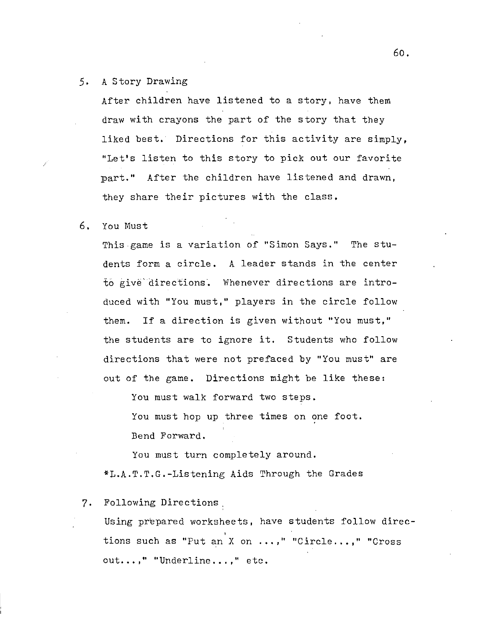## 5. A Story Drawing

After children have listened to a story, have them draw with crayons the part of the story that they liked best. Directions for this activity are simply, "Let's listen to this story to pick out our favorite part." After the children have listened and drawn, they share their pictures with the class.

#### 6. You Must

This.game is a variation of "Simon Says." The students form a circle. A leader stands in the center to give directions. Whenever directions are introduced with "You must," players in the circle follow them. If a direction is given without "You must," the students are to ignore it. Students who follow directions that were not prefaced by "You must" are out of the game. Directions might be like these:

You must walk forward two steps.

You must hop up three times on one foot. Bend Forward.

You must turn completely around. \*L.A.T.T.G.-Listening Aids Through the Grades

## 7. Following Directions,

Using prepared worksheets, have students follow direc tions such as "Put an X on ...," "Circle...," "Cross out...," "Underline...," etc.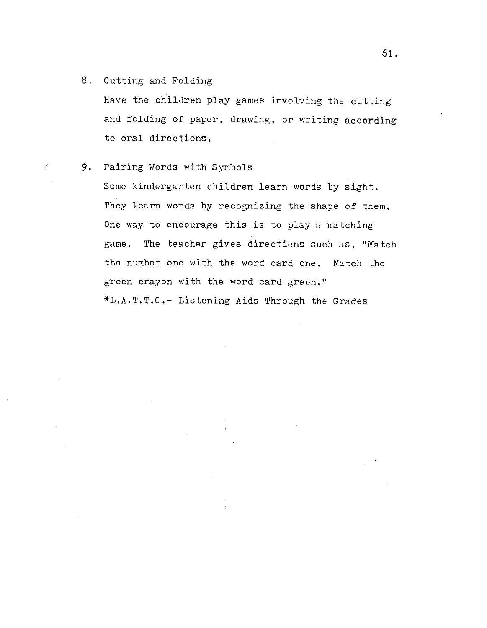8. Cutting and Folding

L

Have the children play games involving the cutting and folding of paper, drawing, or writing according to oral directions.

9. Pairing Words with Symbols

Some kindergarten children learn words by sight. They learn words by recognizing the shape of them. One way to encourage this is to play a matching game. The teacher gives directions such as, ''Match the number one with the word card one. Match the green crayon with the word card green." ~L.A.T.T.G.- Listening Aids Through the Grades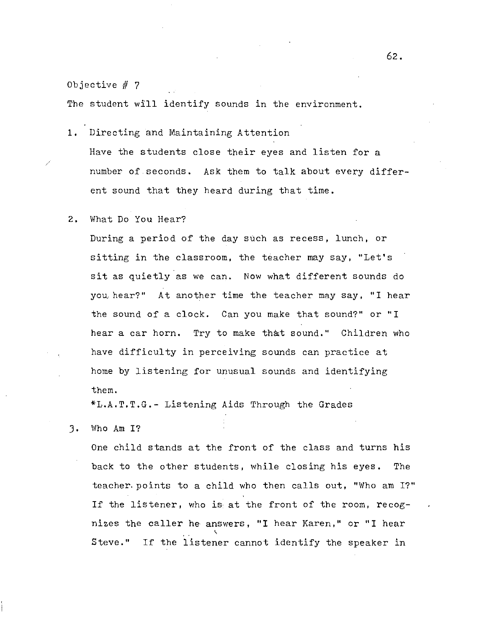*/* 

The student will identify sounds in the environment.

1. Directing and Maintaining Attention Have the students close their eyes and listen for a number of seconds. Ask them to talk about every different sound that they heard during that time.

#### 2. What Do You Hear?

During a period of the day such as recess, lunch, or sitting in the classroom, the teacher may say, "Let's sit as quietly as we can. Now what different sounds do you hear?" At another time the teacher may say, "I hear the sound of a clock. Can you make that sound?" or "I hear a car horn. Try to make that sound." Children who have difficulty in perceiving sounds can practice at home by listening for unusual sounds and identifying them.

\*L.A.T.T.G.- Listening Aids Through the Grades

J. Who Am I?

One child stands at the front of the class and turns his back to the other students, while closing his eyes. The teacher.points to a child who then calls out, "Who am I?" If the listener, who is, at the front of the room, recognizes the caller he answers, "I hear Karen," or "I hear  $\breve{~}$ Steve." If the listener cannot identify the speaker in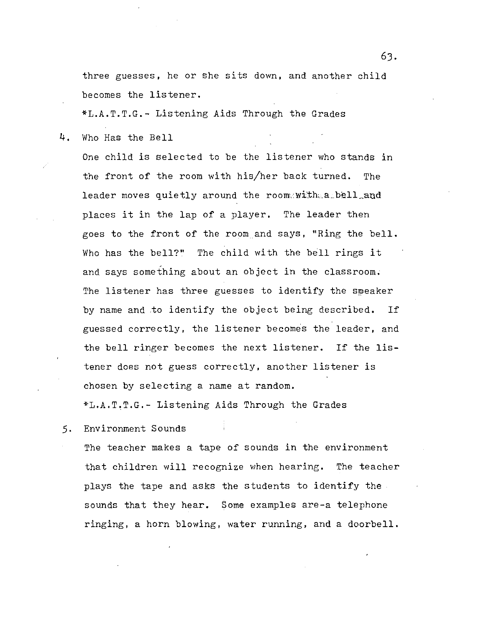three guesses, he or she sits down, and another child becomes the listener.

\*L.A.T.T.G.- Listening Aids Through the Grades

4. Who Has the Bell

One child is selected to be the listener who stands in the front of the room with his/her back turned. The leader moves quietly around the room with a bell and places it in the lap of a player. The leader then goes to the front of the room and says, "Ring the bell. Who has the bell?" The child with the bell rings it and says something about an object in the classroom. The listener has three guesses to identify the speaker by name and to identify the object being described. If guessed correctly, the listener becomes the leader, and the bell ringer becomes the next listener. If the listener does not guess correctly, another listener is chosen by selecting a name at random.

\*L.A.T~T.G.- Listening Aids Through the Grades

5. Environment Sounds

The teacher makes a tape of sounds in the environment that children will recognize when hearing. The teacher plays the tape and asks the students to identify the sounds that they hear. Some examples are-a telephone ringing, a horn blowing, water running, and a doorbell.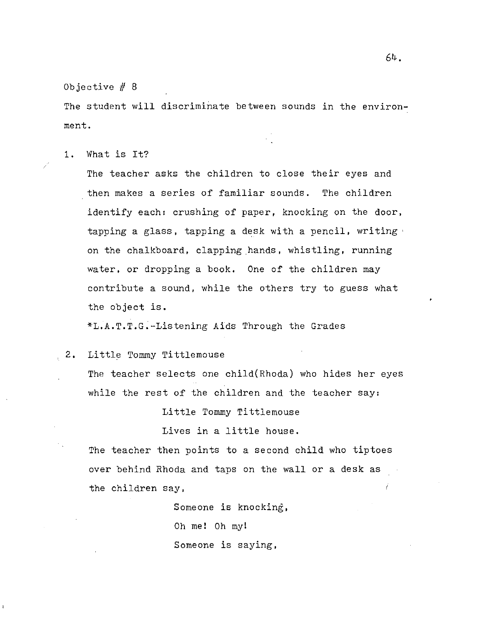64.

Objective  $# 8$ 

The student will discriminate between sounds in the environment.

1. What is It?

*/* 

The teacher asks the children to close their eyes and then makes a series of familiar sounds. The children identify each: crushing of paper, knocking on the door, tapping a glass, tapping a desk with a pencil, writing' on the chalkboard, clapping hands, whistling, running water, or dropping a book. One of the children may contribute a sound, while the others try to guess what the object is.

\*L.A.T.T.G.-Listening Aids Through the Grades

, 2. Little Tommy Tittlemouse

The teacher selects one child(Rhoda) who hides her eyes while the rest of the children and the teacher say:

Little Tommy Tittlemouse

Lives in a little house.

The teacher then points to a second child who tiptoes over behind Rhoda and taps on the wall or a desk as the children say, Í

> Someone is knocking, Oh mel Oh my! Someone is saying,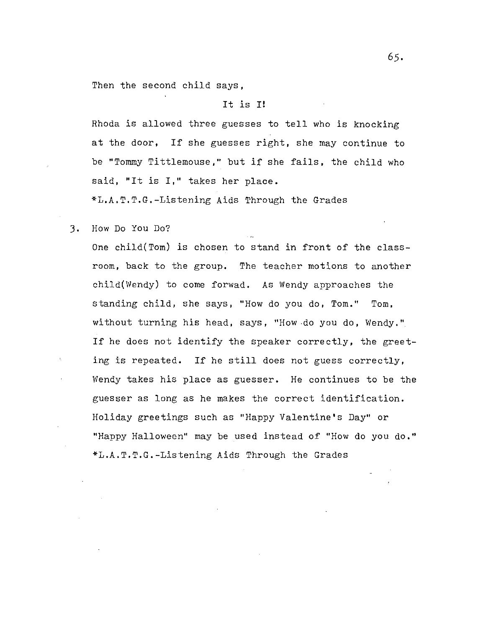Then the second child says,

## It is I!

Rhoda is allowed three guesses to tell who is knocking at the door, If she guesses right, she may continue to be "Tommy Tittlemouse," but if she fails, the child who said, "It is I," takes her place.

\*L.A.T.T.G.-Listening Aids Through the Grades

3. How Do You Do?

One child(Tom) is chosen to stand in front of the classroom, back to the group. The teacher motions to another child(Wendy) to come forwad. As Wendy approaches the standing child, she says, "How do you do, Tom." Tom, without turning his head, says, "How do you do, Wendy." If he does not identify the speaker correctly, the greeting is repeated. If he still does not guess correctly, Wendy takes his place as guesser. He continues to be the guesser as long as he makes the correct identification. Holiday greetings such as "Happy Valentine's Day" or "Happy Halloween" may be used instead of "How do you do." \*L.A.T.T.G.-Listening Aids Through the Grades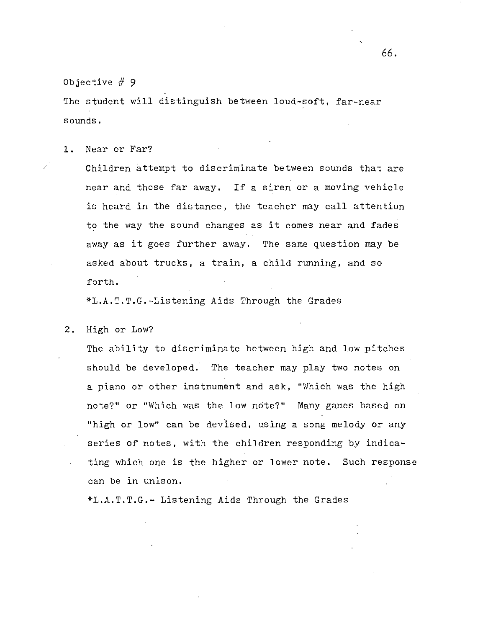The student will distinguish between loud-soft, far-near sounds.

1. Near or Far?

Children attempt to discriminate between sounds that are near and those far away. If a siren or a moving vehicle is heard in the distance, the teacher may call attention to the way the sound changes as it comes near and fades away as it goes further away. The same question may be asked about trucks, a train, a child running, and so forth.

\*L.A.T.T.G.-Listening Aids Through the Grades

2. High or Low?

The ability to discriminate between high and low pitches should be developed. The teacher may play two notes on a piano or other instnument and ask, "Which was the high note?" or "Which was the low note?" Many games based on "high or low" can be devised, using a song melody or any series of notes, with the children responding by indicating which one is the higher or lower note. Such response can be in unison.

\*L.A.T.T.G.- Listening Aids Through the Grades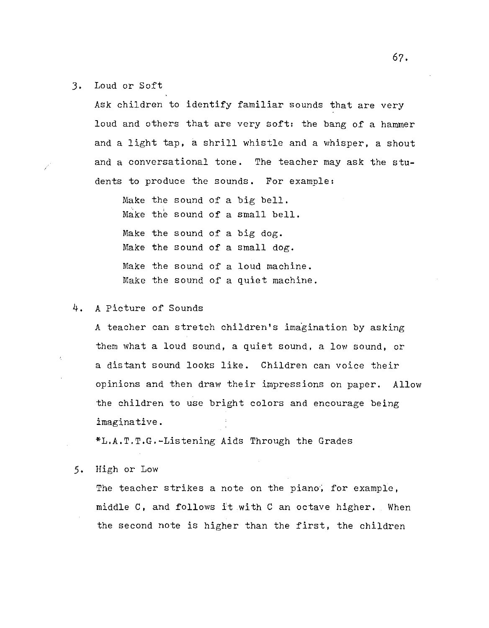J. Loud or Soft

Ask children to identify familiar sounds that are very loud and others that are very soft: the bang of a hammer and a light tap, a shrill whistle and a whisper, a shout and a conversational tone. The teacher may ask the students to produce the sounds. For example:

Make the sound of a big bell. Make the sound of a small bell. Make the sound of a big dog. Make the sound of a small dog. Make the sound of a loud machine. Make the sound of a quiet machine.

## 4. A Picture of Sounds

A teacher can stretch children's imagination by asking them what a loud sound, a quiet sound, a low sound, or a distant sound looks like. Children can voice their opinions and then draw their impressions on paper. Allow the children to use bright colors and encourage being imaginative.

\*L.A.T.T.G.-Listening Aids Through the Grades

5. High or Low

The teacher strikes a note on the piano, for example, middle C, and follows it with C an octave higher. When the second note is higher than the first, the children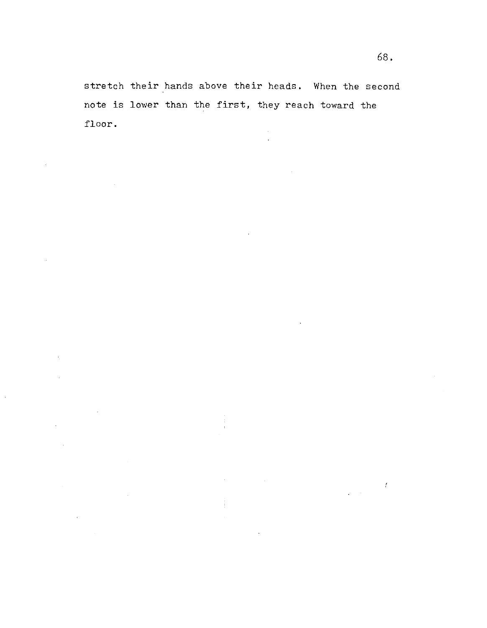stretch their hands above their heads. When the second note is lower than the first, they reach toward the floor.

ý

 $\bar{z}$ 

 $\sim 10^7$ 

 $\hat{\mathbf{r}}$ 

 $\ddot{\phantom{a}}$ 

 $\mathcal{L}^{\mathcal{L}}_{\mathcal{L}}(t)$ 

 $\frac{1}{2} \left( \frac{1}{2} \right)$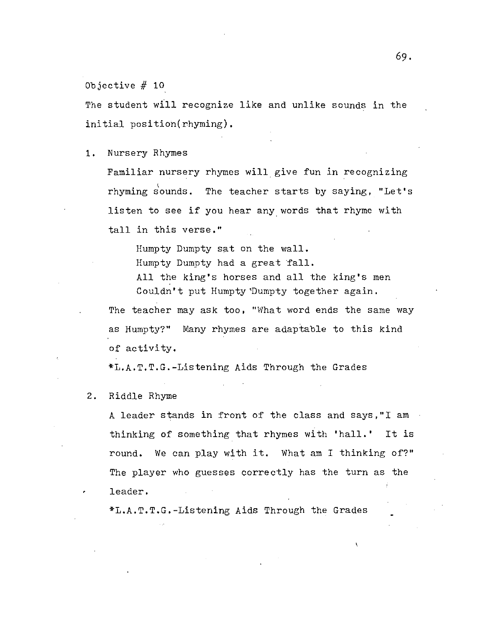The student will recognize like and unlike sounds in the initial position(rhyming).

1. Nursery Rhymes

Familiar nursery rhymes will give fun in recognizing rhyming sounds. The teacher starts by saying, "Let's listen to see if you hear any words that rhyme with tall in this verse."

Humpty Dumpty sat on the wall. Humpty Dumpty had a great fall. All the king's horses and all the king's men Couldn't put Humpty Dumpty together again.

The teacher may ask too, "What word ends the same way as Humpty?" Many rhymes are adaptable to this kind of activity.

\*L.A.T.T.G.-Listening Aids Through the Grades

2. Riddle Rhyme

A leader stands in front of the class and says,"! am thinking of something that rhymes with 'hall.' It is round. We can play with it. What am I thinking of?" The player who guesses correctly has the turn as the leader.

\*L.A.T.T.G.-Listening Aids Through the Grades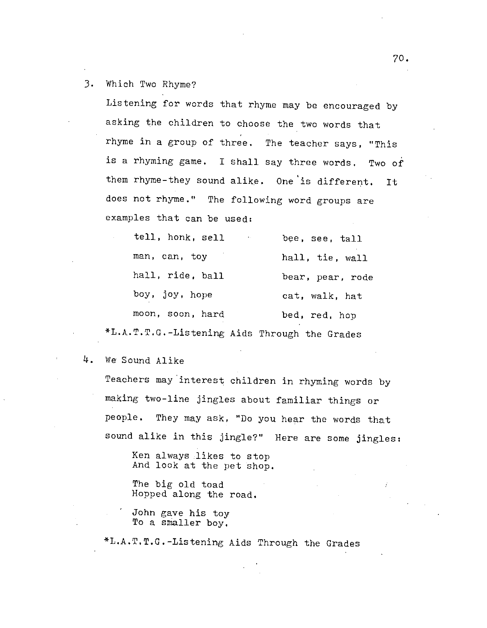## J. Which Two Rhyme?

Listening for words that rhyme may be encouraged by asking the children to choose the two words that rhyme in a group of three. The teacher says, "This is a rhyming game. I shall say three words. Two of them rhyme-they sound alike. One is different. It does not rhyme." The following word groups are examples that can be used:

| tell, honk, sell<br>$\sim$ 100 $\pm$          | bee, see, tall   |
|-----------------------------------------------|------------------|
| man, can, toy                                 | hall, tie, wall  |
| hall, ride, ball                              | bear, pear, rode |
| boy, joy, hope                                | cat, walk, hat   |
| moon, soon, hard                              | bed, red, hop    |
| *L.A.T.T.G.-Listening Aids Through the Grades |                  |

## 4. We Sound Alike

Teachers may'interest children in rhyming words by making two-line jingles about familiar things or people. They may ask, "Do you hear the words that sound alike in this jingle?" Here are some jingles:

Ken always likes to stop And look at the pet shop.

The big old toad Hopped along the road.

John gave his toy To a smaller boy.

\*L.A.T.T.G.-Listening Aids Through the Grades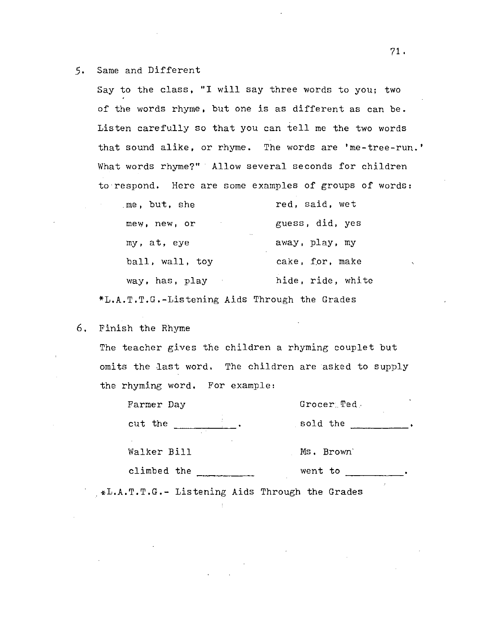#### *5.* Same and Different

Say to the class, "I will say three words to you; two of the words rhyme, but one is as different as can be. Listen carefully so that you can tell me the two words that sound alike, or rhyme. The words are 'me-tree-run.' What words rhyme?" Allow several seconds for children to respond. Here are some examples of groups of words:

| me, but, she             | red, said, wet    |
|--------------------------|-------------------|
| mew, new, or             | guess, did, yes   |
| $\ddotsc$<br>my, at, eye | away, play, my    |
| ball, wall, toy          | cake, for, make   |
| way, has, play           | hide, ride, white |
|                          |                   |

\*L.A.T.T.G.-Listening Aids Through the Grades

## 6. Finish the Rhyme

The teacher gives the children a rhyming couplet but omits the last word. The children are asked to supply the rhyming word. For example:

| Farmer Day               | Grocer Ted |  |
|--------------------------|------------|--|
| cut the                  | sold the   |  |
| $\ddot{}$<br>Walker Bill | Ms. Brown' |  |
| climbed the              | went to    |  |

\*L.A.T.T.G.- Listening Aids Through the Grades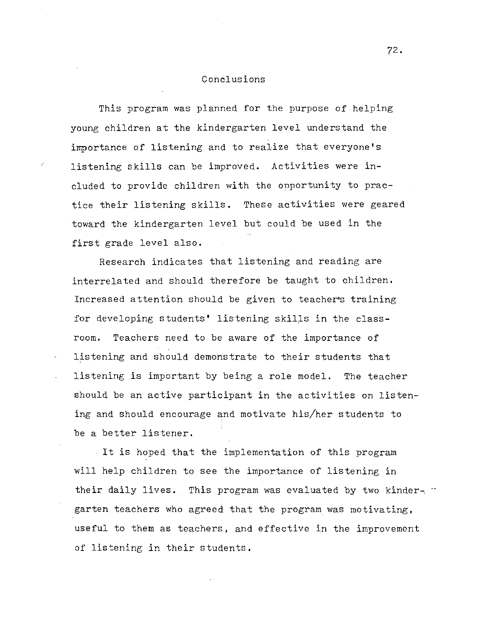## Conclusions

This program was planned for the purpose of helping young children at the kindergarten level understand the importance of listening and to realize that everyone's listening skills can be improved. Activities were included to provide children with the opportunity to practice their listening skills. These activities were geared toward the kindergarten level but could be used in the first grade level also.

Research indicates that listening and reading are interrelated and should therefore be taught to children. Increased attention should be given to teacher's training for developing students' listening skills in the classroom. Teachers need to be aware of the importance of listening and should demonstrate to their students that listening is important by being a role model. The teacher should be an active participant in the activities on listening and should encourage and motivate his/her students to be a better listener.

It is hoped that the implementation of this program will help children to see the importance of listening in their daily lives. This program was evaluated by two kindergarten teachers who agreed that the program was motivating, useful to them as teachers, and effective in the improvement of listening in their students.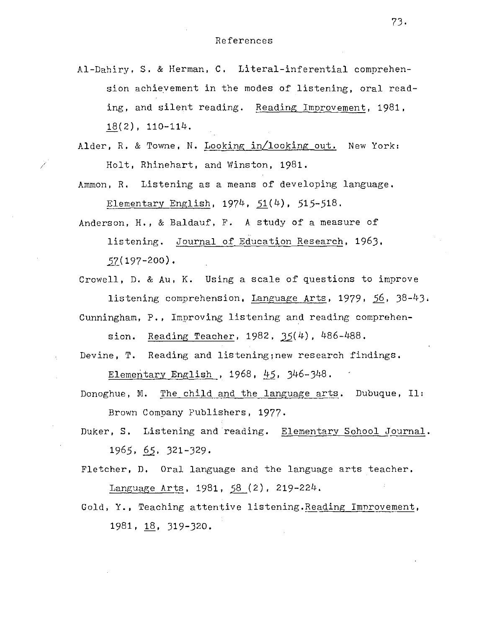Al-Dahiry, S. & Herman, C. Literal-inferential comprehension achieyement in the modes of listening, oral reading, and silent reading. Reading Improvement, 1981,  $18(2)$ ,  $110-114$ .

Alder, R. & Towne, N. Looking in/looking out. New York: Holt, Rhinehart, and Winston, 1981.

*/* 

Ammon, R. Listening as a means of developing language. Elementary English,  $1974, 51(4), 515-518$ .

Anderson, H., & Baldauf, F. A study of a measure of listening. Journal of Education Research, 1963,  $57( 197 - 200)$ .

Crowell, D. & Au, K. Using a scale of questions to improve listening comprehension, Language Arts, 1979, 56, 38-43. Cunningham, P., Improving listening and reading comprehen-

sion. Reading Teacher,  $1982, 35(4)$ ,  $486-488$ .

Devine, T. Reading and listening;new research findings.

Elementary English , 1968, 45, 346-348.

Donoghue, M. The child and the language arts. Dubuque, Il: Brown Company Publishers, 1977.

Duker, S. Listening and'reading. Elementary Sohool Journal. 1965, §2, 321-329.

Fletcher, D. Oral language and the language arts teacher. Language Arts, 1981, 58 (2), 219-224.

Gold, Y., Teaching attentive listening. Reading Imnrovement, 1981, 18, 319-320.

73.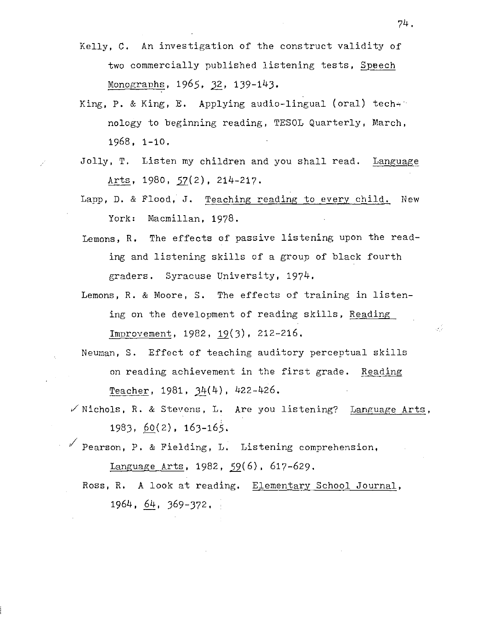- Kelly, C. An investigation of the construct validity of two commercially published listening tests, Speech Monographs, 1965, 32, 139-143.
- King, P. & King, E. Applying audio-lingual (oral) tech. nology to beginning reading, TESOL Quarterly, March, 1968, 1-10.
- Jolly, T. Listen my children and you shall read. Language Arts, 1980, 57(2), 214-217.
- Lapp, D. & Flood, J. Teaching reading to every child. New York: Macmillan, 1978.
- Lemons, R. The effects of passive listening upon the reading and listening skills of a group of black fourth graders. Syracuse University, 1974.
- Lemons, R. & Moore, S. The effects of training in listening on the development of reading skills, Reading Improvement, 1982, 19(3), 212-216.
- Neuman, S. Effect of teaching auditory perceptual skills on reading achievement in the first grade. Reading Teacher,  $1981, 34(4)$ ,  $422-426$ .
- $\checkmark$  Nichols, R. & Stevens, L. Are you listening? Language Arts, 1983, 60(2), 163-165.

 $\nu'$  Pearson, P. & Fielding, L. Listening comprehension,

Language Arts, 1982, 59(6), 617-629.

Ross, R. A look at reading. Elementary School Journal, 1964,  $64$ , 369-372.

74.

34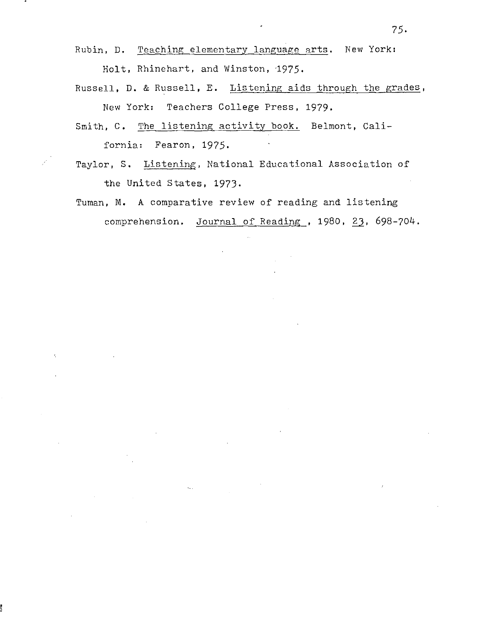- Rubin, D. Teaching elementary language arts. New York: Holt, Rhinehart, and Winston, 1975.
- Russell, D. & Russell, E. Listening aids through the grades, New York: Teachers College Press, 1979.
- Smith, C. The listening activity book. Belmont, **Cali**fornia: Fearon, 1975.
- Taylor, S. Listening, National Educational Association of the United States, 1973.
- Tuman, M. A comparative review of reading and listening  $comprenension.$  Journal of Reading, 1980, 23, 698-704.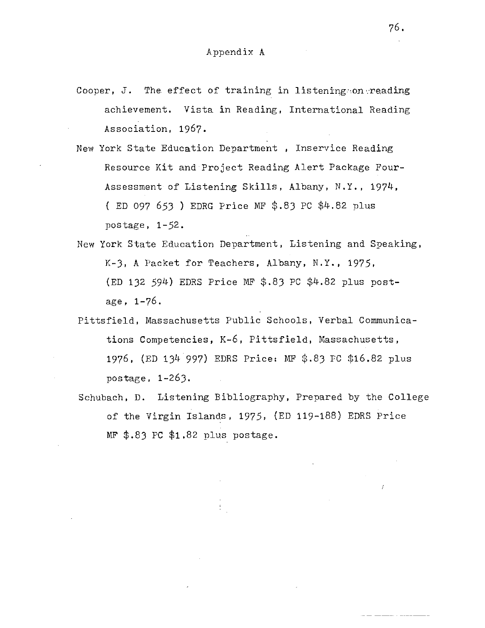- Cooper, J. The effect of training in listening on reading achievement. Vista in Reading, International Reading Association, 1967.
- New York State Education Department, Inservice Reading Resource Kit and Project Reading Alert Package Four-Assessment of Listening Skills, Albany, N.Y., 1974, ( ED 097 653 ) EDRG Price MF \$.83 PC \$4.82 plus postage, 1-52.
- New York State Education Department, Listening and Speaking, K-3, A Packet for Teachers, Albany, N.Y., 1975, (ED 132 594) EDRS Price MF \$.83 PC \$4.82 plus postage, 1-76.
- Pittsfield, Massachusetts Public Schools, Verbal Communications Competencies, K-6, Pittsfield, Massachusetts, 1976, (ED 134 997) EDRS Price: MF \$.83 FC \$16.82 plus postage, 1-263.
- Schubach, D. Listening Bibliography, Prepared by the College of the Virgin Islands, 1975, (ED 119-188) EDRS Price  $MF$  \$.83 PC \$1.82 plus postage.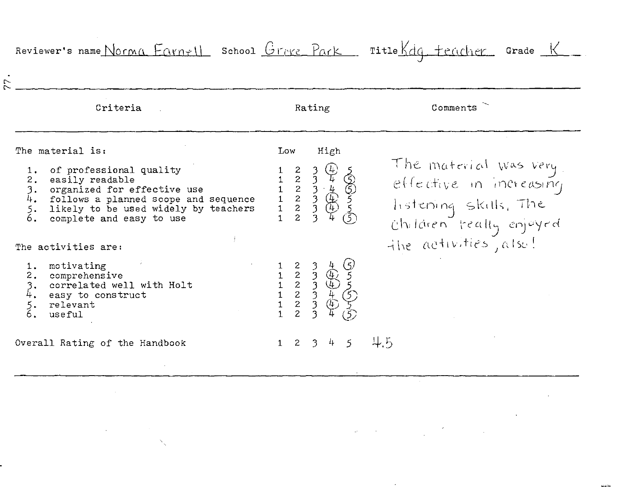| Criteria                                                                                                                                                                                                      |             | Rating                                                                   | Comments                                                                                               |
|---------------------------------------------------------------------------------------------------------------------------------------------------------------------------------------------------------------|-------------|--------------------------------------------------------------------------|--------------------------------------------------------------------------------------------------------|
| The material is:                                                                                                                                                                                              | Low         | High                                                                     |                                                                                                        |
| 1. of professional quality<br>2. easily readable<br>3.<br>organized for effective use<br>4.<br>follows a planned scope and sequence<br>5.<br>likely to be used widely by teachers<br>complete and easy to use |             | 1 2 3 4 5<br>1 2 3 4 6<br>1 2 3 4 6<br>1 2 3 4 5<br>1 2 3 4 5<br>1 2 3 4 | The material was very<br>effective in indicasing<br>Thistening Skills, The<br>Children treatly enjoyed |
| The activities are:                                                                                                                                                                                           |             |                                                                          | the activities, also!                                                                                  |
| 1. motivating<br>2. comprehensive<br>3. correlated wel<br>4. easy to consti<br>correlated well with Holt<br>easy to construct<br>$\overline{\xi}$ .<br>relevant<br>useful                                     |             |                                                                          |                                                                                                        |
| Overall Rating of the Handbook                                                                                                                                                                                | $2^{\circ}$ | $4 -$<br>$\overline{3}$<br>$\mathfrak{S}$                                | $+5$                                                                                                   |

 $\label{eq:2.1} \mathcal{L}(\mathcal{L}^{\mathcal{L}}_{\mathcal{L}}(\mathcal{L}^{\mathcal{L}}_{\mathcal{L}})) = \mathcal{L}(\mathcal{L}^{\mathcal{L}}_{\mathcal{L}}(\mathcal{L}^{\mathcal{L}}_{\mathcal{L}})) = \mathcal{L}(\mathcal{L}^{\mathcal{L}}_{\mathcal{L}}(\mathcal{L}^{\mathcal{L}}_{\mathcal{L}}))$ 

 $\mathcal{L}(\mathcal{L})$  and  $\mathcal{L}(\mathcal{L})$  .

 $\label{eq:2.1} \mathcal{L}(\mathcal{L}(\mathcal{L}))=\mathcal{L}(\mathcal{L}(\mathcal{L}))=\mathcal{L}(\mathcal{L}(\mathcal{L}))=\mathcal{L}(\mathcal{L}(\mathcal{L}))=\mathcal{L}(\mathcal{L}(\mathcal{L}))=\mathcal{L}(\mathcal{L}(\mathcal{L}))=\mathcal{L}(\mathcal{L}(\mathcal{L}))=\mathcal{L}(\mathcal{L}(\mathcal{L}))=\mathcal{L}(\mathcal{L}(\mathcal{L}))=\mathcal{L}(\mathcal{L}(\mathcal{L}))=\mathcal{L}(\mathcal{L}(\mathcal{L}))=\mathcal{L}(\mathcal{L}(\$ 

 $\label{eq:2.1} \mathcal{L}(\mathcal{L}^{\mathcal{L}}_{\mathcal{L}}(\mathcal{L}^{\mathcal{L}}_{\mathcal{L}})) = \mathcal{L}(\mathcal{L}^{\mathcal{L}}_{\mathcal{L}}(\mathcal{L}^{\mathcal{L}}_{\mathcal{L}})) = \mathcal{L}(\mathcal{L}^{\mathcal{L}}_{\mathcal{L}}(\mathcal{L}^{\mathcal{L}}_{\mathcal{L}})) = \mathcal{L}(\mathcal{L}^{\mathcal{L}}_{\mathcal{L}}(\mathcal{L}^{\mathcal{L}}_{\mathcal{L}})) = \mathcal{L}(\mathcal{L}^{\mathcal{L}}$  $\label{eq:1} \sum_{\mathbf{p}\in\mathcal{P}}\left\{ \mathbf{p}_{\mathbf{p}}\left(\mathbf{p}\right) \right\} =\sum_{\mathbf{p}\in\mathcal{P}}\left\{ \mathbf{p}_{\mathbf{p}}\left(\mathbf{p}\right) \right\}$